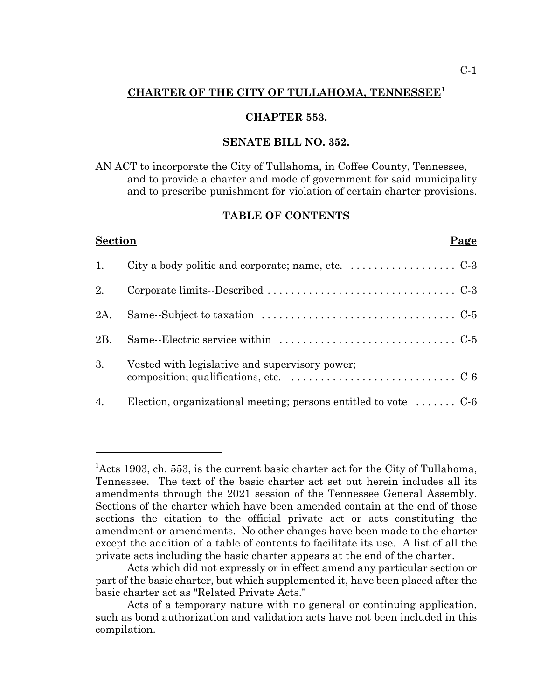## **CHARTER OF THE CITY OF TULLAHOMA, TENNESSEE<sup>1</sup>**

## **CHAPTER 553.**

#### **SENATE BILL NO. 352.**

AN ACT to incorporate the City of Tullahoma, in Coffee County, Tennessee, and to provide a charter and mode of government for said municipality and to prescribe punishment for violation of certain charter provisions.

#### **TABLE OF CONTENTS**

| <b>Section</b> | Page                                                                                                                                              |
|----------------|---------------------------------------------------------------------------------------------------------------------------------------------------|
| 1.             | City a body politic and corporate; name, etc. $\dots\dots\dots\dots\dots\dots$                                                                    |
| 2.             |                                                                                                                                                   |
| 2A.            |                                                                                                                                                   |
| 2B.            |                                                                                                                                                   |
| 3.             | Vested with legislative and supervisory power;<br>composition; qualifications, etc. $\dots \dots \dots \dots \dots \dots \dots \dots \dots \dots$ |
| 4.             | Election, organizational meeting; persons entitled to vote $\dots \dots C-6$                                                                      |

<sup>&</sup>lt;sup>1</sup>Acts 1903, ch. 553, is the current basic charter act for the City of Tullahoma, Tennessee. The text of the basic charter act set out herein includes all its amendments through the 2021 session of the Tennessee General Assembly. Sections of the charter which have been amended contain at the end of those sections the citation to the official private act or acts constituting the amendment or amendments. No other changes have been made to the charter except the addition of a table of contents to facilitate its use. A list of all the private acts including the basic charter appears at the end of the charter.

Acts which did not expressly or in effect amend any particular section or part of the basic charter, but which supplemented it, have been placed after the basic charter act as "Related Private Acts."

Acts of a temporary nature with no general or continuing application, such as bond authorization and validation acts have not been included in this compilation.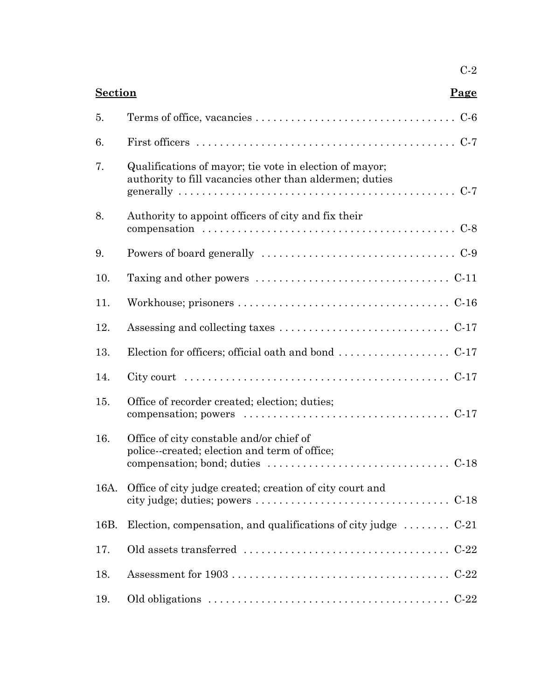|      | <b>Section</b><br>Page                                                                                                                                                                      |  |  |
|------|---------------------------------------------------------------------------------------------------------------------------------------------------------------------------------------------|--|--|
| 5.   |                                                                                                                                                                                             |  |  |
| 6.   | First officers $\dots\dots\dots\dots\dots\dots\dots\dots\dots\dots\dots\dots\dots\dots\dots$                                                                                                |  |  |
| 7.   | Qualifications of mayor; tie vote in election of mayor;<br>authority to fill vacancies other than aldermen; duties                                                                          |  |  |
| 8.   | Authority to appoint officers of city and fix their                                                                                                                                         |  |  |
| 9.   |                                                                                                                                                                                             |  |  |
| 10.  | Taxing and other powers $\dots \dots \dots \dots \dots \dots \dots \dots \dots \dots \dots$                                                                                                 |  |  |
| 11.  |                                                                                                                                                                                             |  |  |
| 12.  |                                                                                                                                                                                             |  |  |
| 13.  |                                                                                                                                                                                             |  |  |
| 14.  |                                                                                                                                                                                             |  |  |
| 15.  | Office of recorder created; election; duties;<br>compensation; powers $\dots \dots \dots \dots \dots \dots \dots \dots \dots \dots \dots \dots \dots$                                       |  |  |
| 16.  | Office of city constable and/or chief of<br>police-created; election and term of office;<br>compensation; bond; duties $\dots \dots \dots \dots \dots \dots \dots \dots \dots \dots$ . C-18 |  |  |
| 16A. | Office of city judge created; creation of city court and                                                                                                                                    |  |  |
| 16B. | Election, compensation, and qualifications of city judge $\dots \dots$ C-21                                                                                                                 |  |  |
| 17.  |                                                                                                                                                                                             |  |  |
| 18.  |                                                                                                                                                                                             |  |  |
| 19.  |                                                                                                                                                                                             |  |  |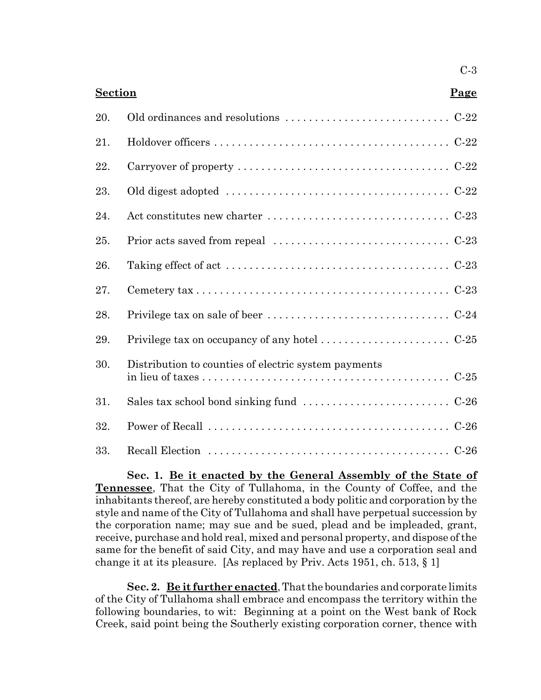| <b>Section</b><br>Page |                                                                                                    |  |
|------------------------|----------------------------------------------------------------------------------------------------|--|
| 20.                    |                                                                                                    |  |
| 21.                    |                                                                                                    |  |
| 22.                    |                                                                                                    |  |
| 23.                    | Old digest adopted $\dots \dots \dots \dots \dots \dots \dots \dots \dots \dots \dots \dots \dots$ |  |
| 24.                    |                                                                                                    |  |
| 25.                    |                                                                                                    |  |
| 26.                    |                                                                                                    |  |
| 27.                    |                                                                                                    |  |
| 28.                    |                                                                                                    |  |
| 29.                    |                                                                                                    |  |
| 30.                    | Distribution to counties of electric system payments                                               |  |
| 31.                    |                                                                                                    |  |
| 32.                    |                                                                                                    |  |
| 33.                    |                                                                                                    |  |

C-3

**Sec. 1. Be it enacted by the General Assembly of the State of Tennessee**, That the City of Tullahoma, in the County of Coffee, and the inhabitants thereof, are hereby constituted a body politic and corporation by the style and name of the City of Tullahoma and shall have perpetual succession by the corporation name; may sue and be sued, plead and be impleaded, grant, receive, purchase and hold real, mixed and personal property, and dispose of the same for the benefit of said City, and may have and use a corporation seal and change it at its pleasure. [As replaced by Priv. Acts 1951, ch. 513, § 1]

**Sec. 2. Be it further enacted**, That the boundaries and corporate limits of the City of Tullahoma shall embrace and encompass the territory within the following boundaries, to wit: Beginning at a point on the West bank of Rock Creek, said point being the Southerly existing corporation corner, thence with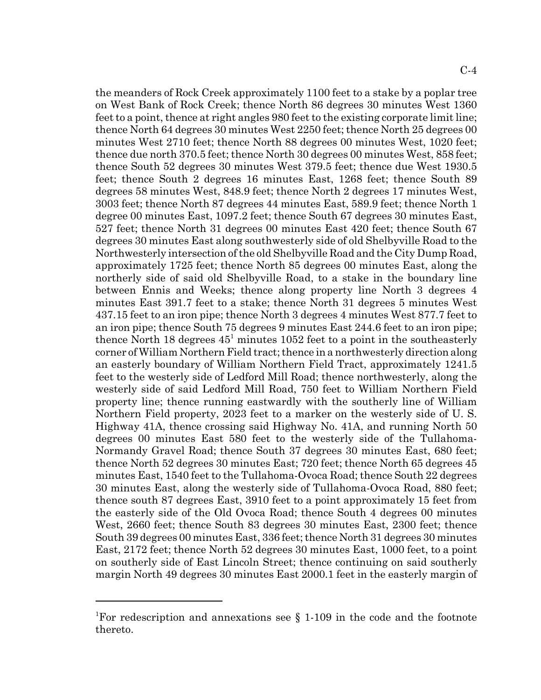the meanders of Rock Creek approximately 1100 feet to a stake by a poplar tree on West Bank of Rock Creek; thence North 86 degrees 30 minutes West 1360 feet to a point, thence at right angles 980 feet to the existing corporate limit line; thence North 64 degrees 30 minutes West 2250 feet; thence North 25 degrees 00 minutes West 2710 feet; thence North 88 degrees 00 minutes West, 1020 feet; thence due north 370.5 feet; thence North 30 degrees 00 minutes West, 858 feet; thence South 52 degrees 30 minutes West 379.5 feet; thence due West 1930.5 feet; thence South 2 degrees 16 minutes East, 1268 feet; thence South 89 degrees 58 minutes West, 848.9 feet; thence North 2 degrees 17 minutes West, 3003 feet; thence North 87 degrees 44 minutes East, 589.9 feet; thence North 1 degree 00 minutes East, 1097.2 feet; thence South 67 degrees 30 minutes East, 527 feet; thence North 31 degrees 00 minutes East 420 feet; thence South 67 degrees 30 minutes East along southwesterly side of old Shelbyville Road to the Northwesterly intersection of the old Shelbyville Road and the City Dump Road, approximately 1725 feet; thence North 85 degrees 00 minutes East, along the northerly side of said old Shelbyville Road, to a stake in the boundary line between Ennis and Weeks; thence along property line North 3 degrees 4 minutes East 391.7 feet to a stake; thence North 31 degrees 5 minutes West 437.15 feet to an iron pipe; thence North 3 degrees 4 minutes West 877.7 feet to an iron pipe; thence South 75 degrees 9 minutes East 244.6 feet to an iron pipe; thence North 18 degrees  $45^1$  minutes 1052 feet to a point in the southeasterly corner of William Northern Field tract; thence in a northwesterly direction along an easterly boundary of William Northern Field Tract, approximately 1241.5 feet to the westerly side of Ledford Mill Road; thence northwesterly, along the westerly side of said Ledford Mill Road, 750 feet to William Northern Field property line; thence running eastwardly with the southerly line of William Northern Field property, 2023 feet to a marker on the westerly side of U. S. Highway 41A, thence crossing said Highway No. 41A, and running North 50 degrees 00 minutes East 580 feet to the westerly side of the Tullahoma-Normandy Gravel Road; thence South 37 degrees 30 minutes East, 680 feet; thence North 52 degrees 30 minutes East; 720 feet; thence North 65 degrees 45 minutes East, 1540 feet to the Tullahoma-Ovoca Road; thence South 22 degrees 30 minutes East, along the westerly side of Tullahoma-Ovoca Road, 880 feet; thence south 87 degrees East, 3910 feet to a point approximately 15 feet from the easterly side of the Old Ovoca Road; thence South 4 degrees 00 minutes West, 2660 feet; thence South 83 degrees 30 minutes East, 2300 feet; thence South 39 degrees 00 minutes East, 336 feet; thence North 31 degrees 30 minutes East, 2172 feet; thence North 52 degrees 30 minutes East, 1000 feet, to a point on southerly side of East Lincoln Street; thence continuing on said southerly margin North 49 degrees 30 minutes East 2000.1 feet in the easterly margin of

<sup>&</sup>lt;sup>1</sup>For redescription and annexations see § 1-109 in the code and the footnote thereto.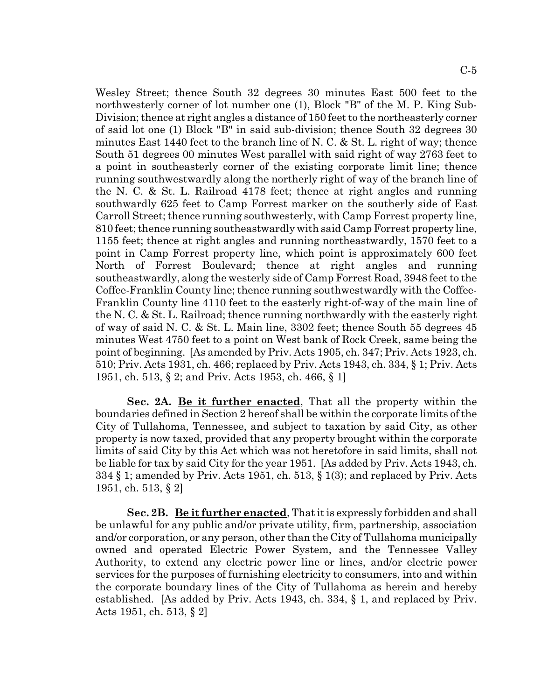Wesley Street; thence South 32 degrees 30 minutes East 500 feet to the northwesterly corner of lot number one (1), Block "B" of the M. P. King Sub-Division; thence at right angles a distance of 150 feet to the northeasterly corner of said lot one (1) Block "B" in said sub-division; thence South 32 degrees 30 minutes East 1440 feet to the branch line of N. C. & St. L. right of way; thence South 51 degrees 00 minutes West parallel with said right of way 2763 feet to a point in southeasterly corner of the existing corporate limit line; thence running southwestwardly along the northerly right of way of the branch line of the N. C. & St. L. Railroad 4178 feet; thence at right angles and running southwardly 625 feet to Camp Forrest marker on the southerly side of East Carroll Street; thence running southwesterly, with Camp Forrest property line, 810 feet; thence running southeastwardly with said Camp Forrest property line, 1155 feet; thence at right angles and running northeastwardly, 1570 feet to a point in Camp Forrest property line, which point is approximately 600 feet North of Forrest Boulevard; thence at right angles and running southeastwardly, along the westerly side of Camp Forrest Road, 3948 feet to the Coffee-Franklin County line; thence running southwestwardly with the Coffee-Franklin County line 4110 feet to the easterly right-of-way of the main line of the N. C. & St. L. Railroad; thence running northwardly with the easterly right of way of said N. C. & St. L. Main line, 3302 feet; thence South 55 degrees 45 minutes West 4750 feet to a point on West bank of Rock Creek, same being the point of beginning. [As amended by Priv. Acts 1905, ch. 347; Priv. Acts 1923, ch. 510; Priv. Acts 1931, ch. 466; replaced by Priv. Acts 1943, ch. 334, § 1; Priv. Acts 1951, ch. 513, § 2; and Priv. Acts 1953, ch. 466, § 1]

**Sec. 2A. Be it further enacted**, That all the property within the boundaries defined in Section 2 hereof shall be within the corporate limits of the City of Tullahoma, Tennessee, and subject to taxation by said City, as other property is now taxed, provided that any property brought within the corporate limits of said City by this Act which was not heretofore in said limits, shall not be liable for tax by said City for the year 1951. [As added by Priv. Acts 1943, ch. 334 § 1; amended by Priv. Acts 1951, ch. 513, § 1(3); and replaced by Priv. Acts 1951, ch. 513, § 2]

**Sec. 2B. Be it further enacted**, That it is expressly forbidden and shall be unlawful for any public and/or private utility, firm, partnership, association and/or corporation, or any person, other than the City of Tullahoma municipally owned and operated Electric Power System, and the Tennessee Valley Authority, to extend any electric power line or lines, and/or electric power services for the purposes of furnishing electricity to consumers, into and within the corporate boundary lines of the City of Tullahoma as herein and hereby established. [As added by Priv. Acts 1943, ch. 334, § 1, and replaced by Priv. Acts 1951, ch. 513, § 2]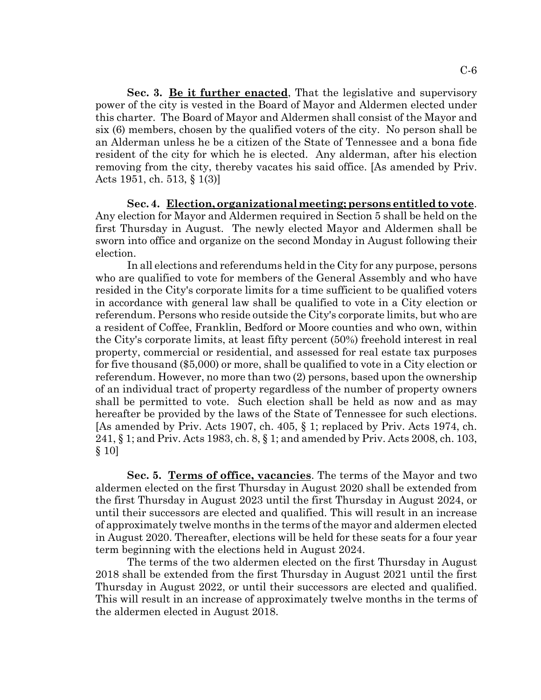**Sec. 3. Be it further enacted**, That the legislative and supervisory power of the city is vested in the Board of Mayor and Aldermen elected under this charter. The Board of Mayor and Aldermen shall consist of the Mayor and six (6) members, chosen by the qualified voters of the city. No person shall be an Alderman unless he be a citizen of the State of Tennessee and a bona fide resident of the city for which he is elected. Any alderman, after his election removing from the city, thereby vacates his said office. [As amended by Priv. Acts 1951, ch. 513, § 1(3)]

**Sec. 4. Election, organizational meeting; persons entitled to vote**. Any election for Mayor and Aldermen required in Section 5 shall be held on the first Thursday in August. The newly elected Mayor and Aldermen shall be sworn into office and organize on the second Monday in August following their election.

In all elections and referendums held in the City for any purpose, persons who are qualified to vote for members of the General Assembly and who have resided in the City's corporate limits for a time sufficient to be qualified voters in accordance with general law shall be qualified to vote in a City election or referendum. Persons who reside outside the City's corporate limits, but who are a resident of Coffee, Franklin, Bedford or Moore counties and who own, within the City's corporate limits, at least fifty percent (50%) freehold interest in real property, commercial or residential, and assessed for real estate tax purposes for five thousand (\$5,000) or more, shall be qualified to vote in a City election or referendum. However, no more than two (2) persons, based upon the ownership of an individual tract of property regardless of the number of property owners shall be permitted to vote. Such election shall be held as now and as may hereafter be provided by the laws of the State of Tennessee for such elections. [As amended by Priv. Acts 1907, ch. 405, § 1; replaced by Priv. Acts 1974, ch. 241, § 1; and Priv. Acts 1983, ch. 8, § 1; and amended by Priv. Acts 2008, ch. 103, § 10]

**Sec. 5. Terms of office, vacancies**. The terms of the Mayor and two aldermen elected on the first Thursday in August 2020 shall be extended from the first Thursday in August 2023 until the first Thursday in August 2024, or until their successors are elected and qualified. This will result in an increase of approximately twelve months in the terms of the mayor and aldermen elected in August 2020. Thereafter, elections will be held for these seats for a four year term beginning with the elections held in August 2024.

The terms of the two aldermen elected on the first Thursday in August 2018 shall be extended from the first Thursday in August 2021 until the first Thursday in August 2022, or until their successors are elected and qualified. This will result in an increase of approximately twelve months in the terms of the aldermen elected in August 2018.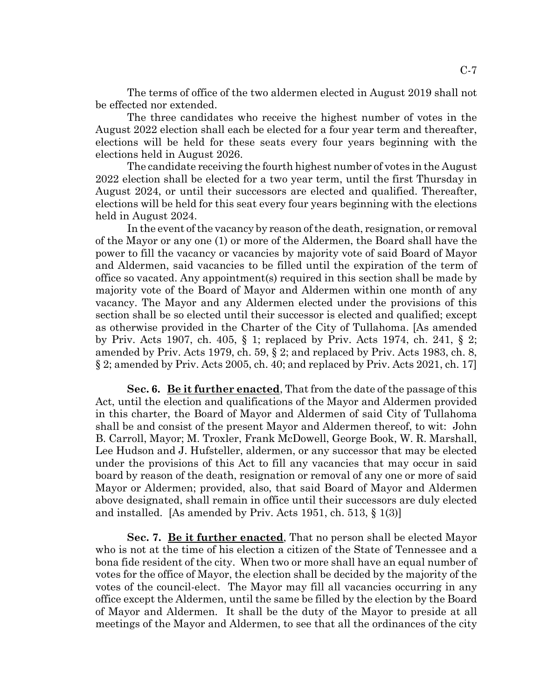The terms of office of the two aldermen elected in August 2019 shall not be effected nor extended.

The three candidates who receive the highest number of votes in the August 2022 election shall each be elected for a four year term and thereafter, elections will be held for these seats every four years beginning with the elections held in August 2026.

The candidate receiving the fourth highest number of votes in the August 2022 election shall be elected for a two year term, until the first Thursday in August 2024, or until their successors are elected and qualified. Thereafter, elections will be held for this seat every four years beginning with the elections held in August 2024.

In the event of the vacancy by reason of the death, resignation, or removal of the Mayor or any one (1) or more of the Aldermen, the Board shall have the power to fill the vacancy or vacancies by majority vote of said Board of Mayor and Aldermen, said vacancies to be filled until the expiration of the term of office so vacated. Any appointment(s) required in this section shall be made by majority vote of the Board of Mayor and Aldermen within one month of any vacancy. The Mayor and any Aldermen elected under the provisions of this section shall be so elected until their successor is elected and qualified; except as otherwise provided in the Charter of the City of Tullahoma. [As amended by Priv. Acts 1907, ch. 405, § 1; replaced by Priv. Acts 1974, ch. 241, § 2; amended by Priv. Acts 1979, ch. 59, § 2; and replaced by Priv. Acts 1983, ch. 8, § 2; amended by Priv. Acts 2005, ch. 40; and replaced by Priv. Acts 2021, ch. 17]

**Sec. 6. Be it further enacted**, That from the date of the passage of this Act, until the election and qualifications of the Mayor and Aldermen provided in this charter, the Board of Mayor and Aldermen of said City of Tullahoma shall be and consist of the present Mayor and Aldermen thereof, to wit: John B. Carroll, Mayor; M. Troxler, Frank McDowell, George Book, W. R. Marshall, Lee Hudson and J. Hufsteller, aldermen, or any successor that may be elected under the provisions of this Act to fill any vacancies that may occur in said board by reason of the death, resignation or removal of any one or more of said Mayor or Aldermen; provided, also, that said Board of Mayor and Aldermen above designated, shall remain in office until their successors are duly elected and installed. [As amended by Priv. Acts 1951, ch. 513, § 1(3)]

**Sec. 7. Be it further enacted**, That no person shall be elected Mayor who is not at the time of his election a citizen of the State of Tennessee and a bona fide resident of the city. When two or more shall have an equal number of votes for the office of Mayor, the election shall be decided by the majority of the votes of the council-elect. The Mayor may fill all vacancies occurring in any office except the Aldermen, until the same be filled by the election by the Board of Mayor and Aldermen. It shall be the duty of the Mayor to preside at all meetings of the Mayor and Aldermen, to see that all the ordinances of the city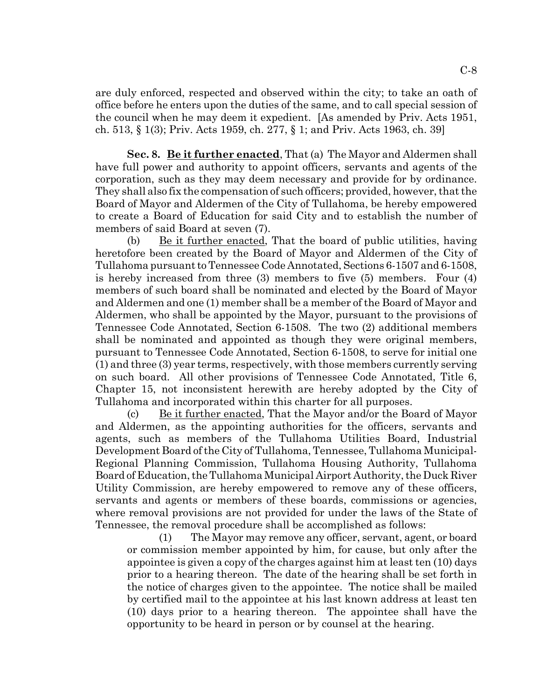are duly enforced, respected and observed within the city; to take an oath of office before he enters upon the duties of the same, and to call special session of the council when he may deem it expedient. [As amended by Priv. Acts 1951, ch. 513, § 1(3); Priv. Acts 1959, ch. 277, § 1; and Priv. Acts 1963, ch. 39]

**Sec. 8. Be it further enacted**, That (a) The Mayor and Aldermen shall have full power and authority to appoint officers, servants and agents of the corporation, such as they may deem necessary and provide for by ordinance. They shall also fix the compensation of such officers; provided, however, that the Board of Mayor and Aldermen of the City of Tullahoma, be hereby empowered to create a Board of Education for said City and to establish the number of members of said Board at seven (7).

(b) Be it further enacted, That the board of public utilities, having heretofore been created by the Board of Mayor and Aldermen of the City of Tullahoma pursuant to Tennessee Code Annotated, Sections 6-1507 and 6-1508, is hereby increased from three (3) members to five (5) members. Four (4) members of such board shall be nominated and elected by the Board of Mayor and Aldermen and one (1) member shall be a member of the Board of Mayor and Aldermen, who shall be appointed by the Mayor, pursuant to the provisions of Tennessee Code Annotated, Section 6-1508. The two (2) additional members shall be nominated and appointed as though they were original members, pursuant to Tennessee Code Annotated, Section 6-1508, to serve for initial one (1) and three (3) year terms, respectively, with those members currently serving on such board. All other provisions of Tennessee Code Annotated, Title 6, Chapter 15, not inconsistent herewith are hereby adopted by the City of Tullahoma and incorporated within this charter for all purposes.

(c) Be it further enacted, That the Mayor and/or the Board of Mayor and Aldermen, as the appointing authorities for the officers, servants and agents, such as members of the Tullahoma Utilities Board, Industrial Development Board of the City of Tullahoma, Tennessee, Tullahoma Municipal-Regional Planning Commission, Tullahoma Housing Authority, Tullahoma Board of Education, the Tullahoma Municipal Airport Authority, the Duck River Utility Commission, are hereby empowered to remove any of these officers, servants and agents or members of these boards, commissions or agencies, where removal provisions are not provided for under the laws of the State of Tennessee, the removal procedure shall be accomplished as follows:

(1) The Mayor may remove any officer, servant, agent, or board or commission member appointed by him, for cause, but only after the appointee is given a copy of the charges against him at least ten (10) days prior to a hearing thereon. The date of the hearing shall be set forth in the notice of charges given to the appointee. The notice shall be mailed by certified mail to the appointee at his last known address at least ten (10) days prior to a hearing thereon. The appointee shall have the opportunity to be heard in person or by counsel at the hearing.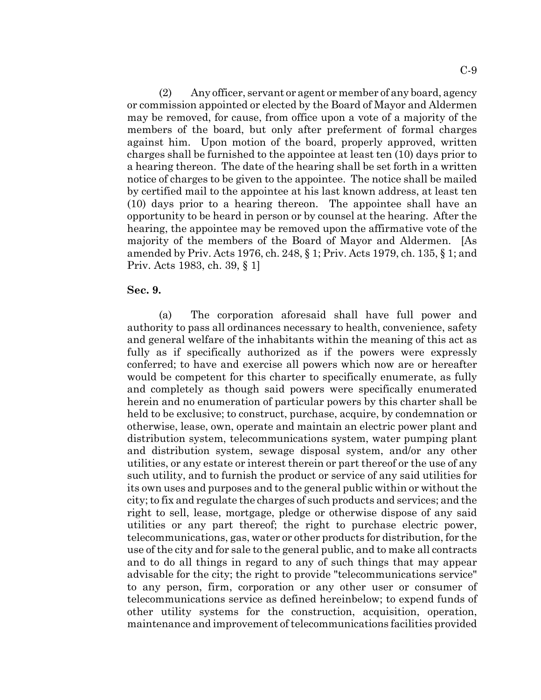(2) Any officer, servant or agent or member of any board, agency or commission appointed or elected by the Board of Mayor and Aldermen may be removed, for cause, from office upon a vote of a majority of the members of the board, but only after preferment of formal charges against him. Upon motion of the board, properly approved, written charges shall be furnished to the appointee at least ten (10) days prior to a hearing thereon. The date of the hearing shall be set forth in a written notice of charges to be given to the appointee. The notice shall be mailed by certified mail to the appointee at his last known address, at least ten (10) days prior to a hearing thereon. The appointee shall have an opportunity to be heard in person or by counsel at the hearing. After the hearing, the appointee may be removed upon the affirmative vote of the majority of the members of the Board of Mayor and Aldermen. [As amended by Priv. Acts 1976, ch. 248, § 1; Priv. Acts 1979, ch. 135, § 1; and Priv. Acts 1983, ch. 39, § 1]

#### **Sec. 9.**

(a) The corporation aforesaid shall have full power and authority to pass all ordinances necessary to health, convenience, safety and general welfare of the inhabitants within the meaning of this act as fully as if specifically authorized as if the powers were expressly conferred; to have and exercise all powers which now are or hereafter would be competent for this charter to specifically enumerate, as fully and completely as though said powers were specifically enumerated herein and no enumeration of particular powers by this charter shall be held to be exclusive; to construct, purchase, acquire, by condemnation or otherwise, lease, own, operate and maintain an electric power plant and distribution system, telecommunications system, water pumping plant and distribution system, sewage disposal system, and/or any other utilities, or any estate or interest therein or part thereof or the use of any such utility, and to furnish the product or service of any said utilities for its own uses and purposes and to the general public within or without the city; to fix and regulate the charges of such products and services; and the right to sell, lease, mortgage, pledge or otherwise dispose of any said utilities or any part thereof; the right to purchase electric power, telecommunications, gas, water or other products for distribution, for the use of the city and for sale to the general public, and to make all contracts and to do all things in regard to any of such things that may appear advisable for the city; the right to provide "telecommunications service" to any person, firm, corporation or any other user or consumer of telecommunications service as defined hereinbelow; to expend funds of other utility systems for the construction, acquisition, operation, maintenance and improvement of telecommunications facilities provided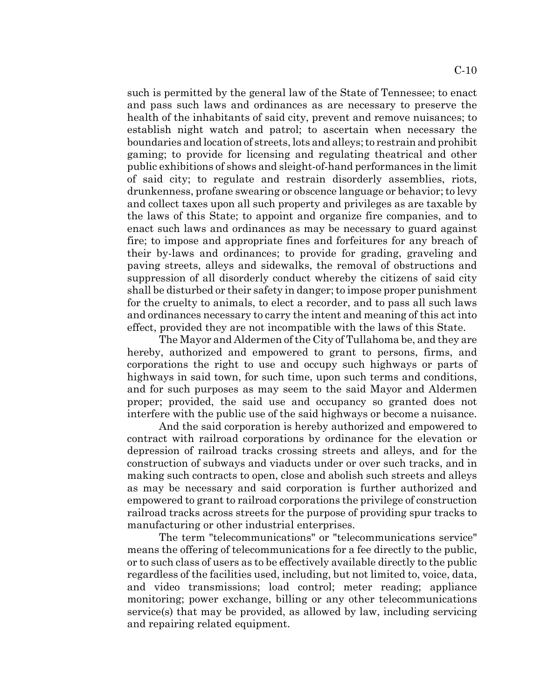such is permitted by the general law of the State of Tennessee; to enact and pass such laws and ordinances as are necessary to preserve the health of the inhabitants of said city, prevent and remove nuisances; to establish night watch and patrol; to ascertain when necessary the boundaries and location of streets, lots and alleys; to restrain and prohibit gaming; to provide for licensing and regulating theatrical and other public exhibitions of shows and sleight-of-hand performances in the limit of said city; to regulate and restrain disorderly assemblies, riots, drunkenness, profane swearing or obscence language or behavior; to levy and collect taxes upon all such property and privileges as are taxable by the laws of this State; to appoint and organize fire companies, and to enact such laws and ordinances as may be necessary to guard against fire; to impose and appropriate fines and forfeitures for any breach of their by-laws and ordinances; to provide for grading, graveling and paving streets, alleys and sidewalks, the removal of obstructions and suppression of all disorderly conduct whereby the citizens of said city shall be disturbed or their safety in danger; to impose proper punishment for the cruelty to animals, to elect a recorder, and to pass all such laws and ordinances necessary to carry the intent and meaning of this act into effect, provided they are not incompatible with the laws of this State.

The Mayor and Aldermen of the City of Tullahoma be, and they are hereby, authorized and empowered to grant to persons, firms, and corporations the right to use and occupy such highways or parts of highways in said town, for such time, upon such terms and conditions, and for such purposes as may seem to the said Mayor and Aldermen proper; provided, the said use and occupancy so granted does not interfere with the public use of the said highways or become a nuisance.

And the said corporation is hereby authorized and empowered to contract with railroad corporations by ordinance for the elevation or depression of railroad tracks crossing streets and alleys, and for the construction of subways and viaducts under or over such tracks, and in making such contracts to open, close and abolish such streets and alleys as may be necessary and said corporation is further authorized and empowered to grant to railroad corporations the privilege of construction railroad tracks across streets for the purpose of providing spur tracks to manufacturing or other industrial enterprises.

The term "telecommunications" or "telecommunications service" means the offering of telecommunications for a fee directly to the public, or to such class of users as to be effectively available directly to the public regardless of the facilities used, including, but not limited to, voice, data, and video transmissions; load control; meter reading; appliance monitoring; power exchange, billing or any other telecommunications service(s) that may be provided, as allowed by law, including servicing and repairing related equipment.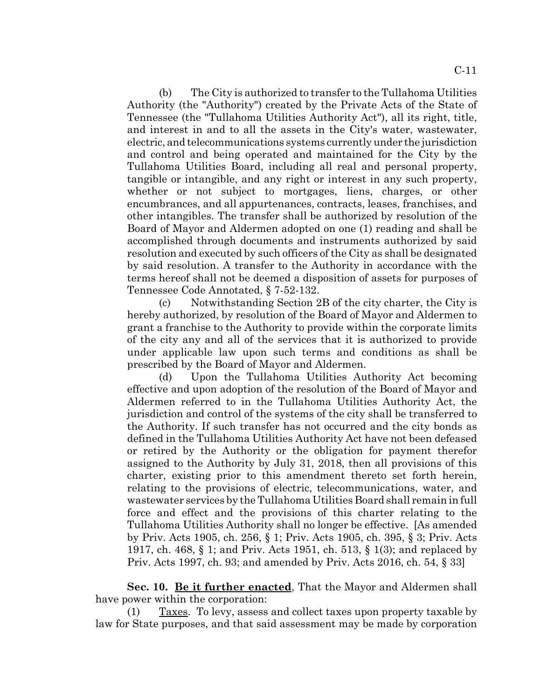(b) The City is authorized to transfer to the Tullahoma Utilities Authority (the "Authority") created by the Private Acts of the State of Tennessee (the "Tullahoma Utilities Authority Act"), all its right, title, and interest in and to all the assets in the City's water, wastewater, electric, and telecommunications systems currently under the jurisdiction and control and being operated and maintained for the City by the Tullahoma Utilities Board, including all real and personal property, tangible or intangible, and any right or interest in any such property, whether or not subject to mortgages, liens, charges, or other encumbrances, and all appurtenances, contracts, leases, franchises, and other intangibles. The transfer shall be authorized by resolution of the Board of Mayor and Aldermen adopted on one (1) reading and shall be accomplished through documents and instruments authorized by said resolution and executed by such officers of the City as shall be designated by said resolution. A transfer to the Authority in accordance with the terms hereof shall not be deemed a disposition of assets for purposes of

Tennessee Code Annotated, § 7-52-132. (c) Notwithstanding Section 2B of the city charter, the City is hereby authorized, by resolution of the Board of Mayor and Aldermen to grant a franchise to the Authority to provide within the corporate limits of the city any and all of the services that it is authorized to provide under applicable law upon such terms and conditions as shall be prescribed by the Board of Mayor and Aldermen.

(d) Upon the Tullahoma Utilities Authority Act becoming effective and upon adoption of the resolution of the Board of Mayor and Aldermen referred to in the Tullahoma Utilities Authority Act, the jurisdiction and control of the systems of the city shall be transferred to the Authority. If such transfer has not occurred and the city bonds as defined in the Tullahoma Utilities Authority Act have not been defeased or retired by the Authority or the obligation for payment therefor assigned to the Authority by July 31, 2018, then all provisions of this charter, existing prior to this amendment thereto set forth herein, relating to the provisions of electric, telecommunications, water, and wastewater services by the Tullahoma Utilities Board shall remain in full force and effect and the provisions of this charter relating to the Tullahoma Utilities Authority shall no longer be effective. [As amended by Priv. Acts 1905, ch. 256, § 1; Priv. Acts 1905, ch. 395, § 3; Priv. Acts 1917, ch. 468, § 1; and Priv. Acts 1951, ch. 513, § 1(3); and replaced by Priv. Acts 1997, ch. 93; and amended by Priv. Acts 2016, ch. 54, § 33]

**Sec. 10. Be it further enacted**, That the Mayor and Aldermen shall have power within the corporation:

(1) Taxes. To levy, assess and collect taxes upon property taxable by law for State purposes, and that said assessment may be made by corporation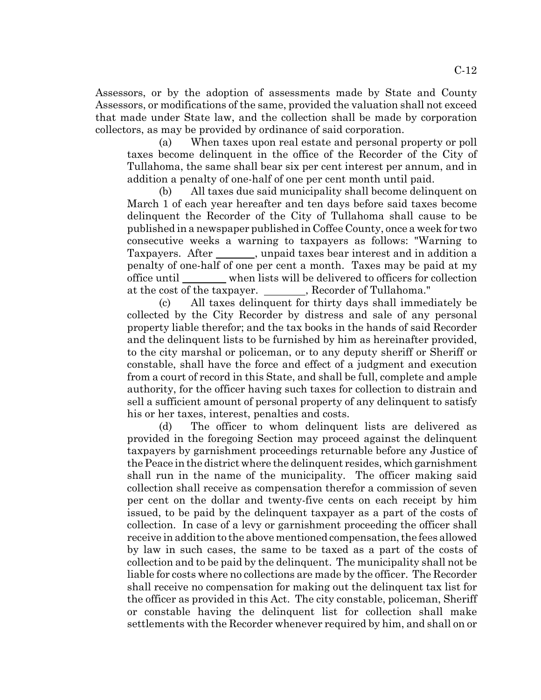Assessors, or by the adoption of assessments made by State and County Assessors, or modifications of the same, provided the valuation shall not exceed that made under State law, and the collection shall be made by corporation collectors, as may be provided by ordinance of said corporation.

(a) When taxes upon real estate and personal property or poll taxes become delinquent in the office of the Recorder of the City of Tullahoma, the same shall bear six per cent interest per annum, and in addition a penalty of one-half of one per cent month until paid.

(b) All taxes due said municipality shall become delinquent on March 1 of each year hereafter and ten days before said taxes become delinquent the Recorder of the City of Tullahoma shall cause to be published in a newspaper published in Coffee County, once a week for two consecutive weeks a warning to taxpayers as follows: "Warning to Taxpayers. After , unpaid taxes bear interest and in addition a penalty of one-half of one per cent a month. Taxes may be paid at my office until when lists will be delivered to officers for collection at the cost of the taxpayer. Recorder of Tullahoma."

(c) All taxes delinquent for thirty days shall immediately be collected by the City Recorder by distress and sale of any personal property liable therefor; and the tax books in the hands of said Recorder and the delinquent lists to be furnished by him as hereinafter provided, to the city marshal or policeman, or to any deputy sheriff or Sheriff or constable, shall have the force and effect of a judgment and execution from a court of record in this State, and shall be full, complete and ample authority, for the officer having such taxes for collection to distrain and sell a sufficient amount of personal property of any delinquent to satisfy his or her taxes, interest, penalties and costs.

(d) The officer to whom delinquent lists are delivered as provided in the foregoing Section may proceed against the delinquent taxpayers by garnishment proceedings returnable before any Justice of the Peace in the district where the delinquent resides, which garnishment shall run in the name of the municipality. The officer making said collection shall receive as compensation therefor a commission of seven per cent on the dollar and twenty-five cents on each receipt by him issued, to be paid by the delinquent taxpayer as a part of the costs of collection. In case of a levy or garnishment proceeding the officer shall receive in addition to the above mentioned compensation, the fees allowed by law in such cases, the same to be taxed as a part of the costs of collection and to be paid by the delinquent. The municipality shall not be liable for costs where no collections are made by the officer. The Recorder shall receive no compensation for making out the delinquent tax list for the officer as provided in this Act. The city constable, policeman, Sheriff or constable having the delinquent list for collection shall make settlements with the Recorder whenever required by him, and shall on or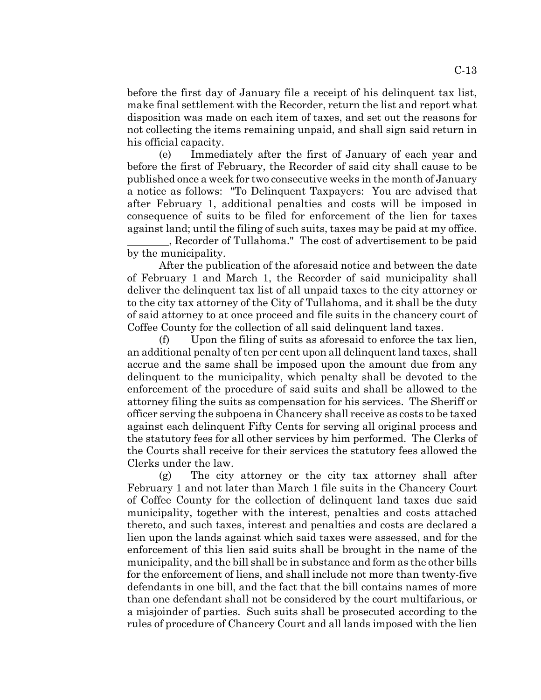before the first day of January file a receipt of his delinquent tax list, make final settlement with the Recorder, return the list and report what disposition was made on each item of taxes, and set out the reasons for not collecting the items remaining unpaid, and shall sign said return in his official capacity.

(e) Immediately after the first of January of each year and before the first of February, the Recorder of said city shall cause to be published once a week for two consecutive weeks in the month of January a notice as follows: "To Delinquent Taxpayers: You are advised that after February 1, additional penalties and costs will be imposed in consequence of suits to be filed for enforcement of the lien for taxes against land; until the filing of such suits, taxes may be paid at my office.

 , Recorder of Tullahoma." The cost of advertisement to be paid by the municipality.

After the publication of the aforesaid notice and between the date of February 1 and March 1, the Recorder of said municipality shall deliver the delinquent tax list of all unpaid taxes to the city attorney or to the city tax attorney of the City of Tullahoma, and it shall be the duty of said attorney to at once proceed and file suits in the chancery court of Coffee County for the collection of all said delinquent land taxes.

(f) Upon the filing of suits as aforesaid to enforce the tax lien, an additional penalty of ten per cent upon all delinquent land taxes, shall accrue and the same shall be imposed upon the amount due from any delinquent to the municipality, which penalty shall be devoted to the enforcement of the procedure of said suits and shall be allowed to the attorney filing the suits as compensation for his services. The Sheriff or officer serving the subpoena in Chancery shall receive as costs to be taxed against each delinquent Fifty Cents for serving all original process and the statutory fees for all other services by him performed. The Clerks of the Courts shall receive for their services the statutory fees allowed the Clerks under the law.

(g) The city attorney or the city tax attorney shall after February 1 and not later than March 1 file suits in the Chancery Court of Coffee County for the collection of delinquent land taxes due said municipality, together with the interest, penalties and costs attached thereto, and such taxes, interest and penalties and costs are declared a lien upon the lands against which said taxes were assessed, and for the enforcement of this lien said suits shall be brought in the name of the municipality, and the bill shall be in substance and form as the other bills for the enforcement of liens, and shall include not more than twenty-five defendants in one bill, and the fact that the bill contains names of more than one defendant shall not be considered by the court multifarious, or a misjoinder of parties. Such suits shall be prosecuted according to the rules of procedure of Chancery Court and all lands imposed with the lien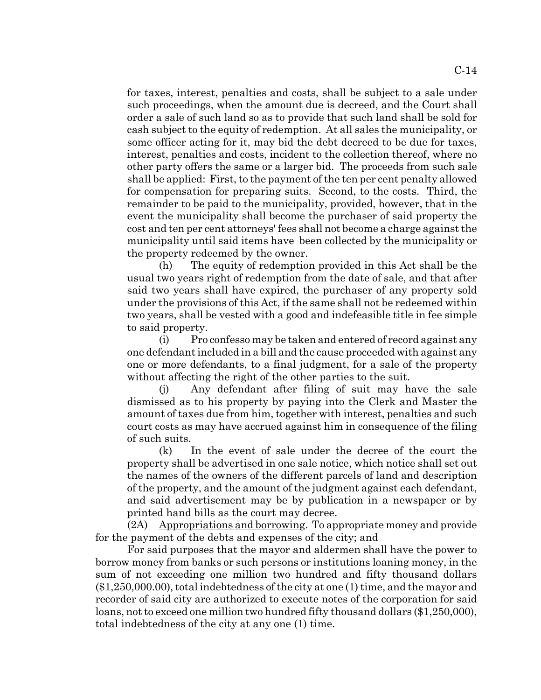for taxes, interest, penalties and costs, shall be subject to a sale under such proceedings, when the amount due is decreed, and the Court shall order a sale of such land so as to provide that such land shall be sold for cash subject to the equity of redemption. At all sales the municipality, or some officer acting for it, may bid the debt decreed to be due for taxes, interest, penalties and costs, incident to the collection thereof, where no other party offers the same or a larger bid. The proceeds from such sale shall be applied: First, to the payment of the ten per cent penalty allowed for compensation for preparing suits. Second, to the costs. Third, the remainder to be paid to the municipality, provided, however, that in the event the municipality shall become the purchaser of said property the cost and ten per cent attorneys' fees shall not become a charge against the municipality until said items have been collected by the municipality or the property redeemed by the owner.

(h) The equity of redemption provided in this Act shall be the usual two years right of redemption from the date of sale, and that after said two years shall have expired, the purchaser of any property sold under the provisions of this Act, if the same shall not be redeemed within two years, shall be vested with a good and indefeasible title in fee simple to said property.

(i) Pro confesso may be taken and entered of record against any one defendant included in a bill and the cause proceeded with against any one or more defendants, to a final judgment, for a sale of the property without affecting the right of the other parties to the suit.

(j) Any defendant after filing of suit may have the sale dismissed as to his property by paying into the Clerk and Master the amount of taxes due from him, together with interest, penalties and such court costs as may have accrued against him in consequence of the filing of such suits.

(k) In the event of sale under the decree of the court the property shall be advertised in one sale notice, which notice shall set out the names of the owners of the different parcels of land and description of the property, and the amount of the judgment against each defendant, and said advertisement may be by publication in a newspaper or by printed hand bills as the court may decree.

(2A) Appropriations and borrowing. To appropriate money and provide for the payment of the debts and expenses of the city; and

For said purposes that the mayor and aldermen shall have the power to borrow money from banks or such persons or institutions loaning money, in the sum of not exceeding one million two hundred and fifty thousand dollars (\$1,250,000.00), total indebtedness of the city at one (1) time, and the mayor and recorder of said city are authorized to execute notes of the corporation for said loans, not to exceed one million two hundred fifty thousand dollars (\$1,250,000), total indebtedness of the city at any one (1) time.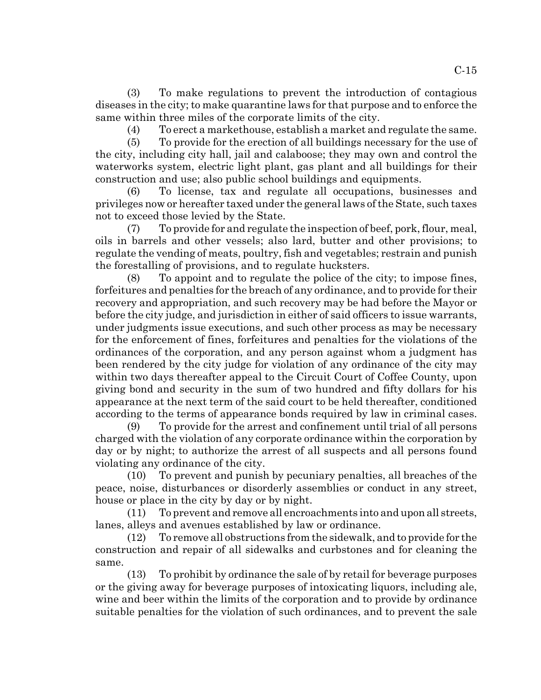(3) To make regulations to prevent the introduction of contagious diseases in the city; to make quarantine laws for that purpose and to enforce the same within three miles of the corporate limits of the city.

(4) To erect a markethouse, establish a market and regulate the same.

(5) To provide for the erection of all buildings necessary for the use of the city, including city hall, jail and calaboose; they may own and control the waterworks system, electric light plant, gas plant and all buildings for their construction and use; also public school buildings and equipments.

(6) To license, tax and regulate all occupations, businesses and privileges now or hereafter taxed under the general laws of the State, such taxes not to exceed those levied by the State.

(7) To provide for and regulate the inspection of beef, pork, flour, meal, oils in barrels and other vessels; also lard, butter and other provisions; to regulate the vending of meats, poultry, fish and vegetables; restrain and punish the forestalling of provisions, and to regulate hucksters.

(8) To appoint and to regulate the police of the city; to impose fines, forfeitures and penalties for the breach of any ordinance, and to provide for their recovery and appropriation, and such recovery may be had before the Mayor or before the city judge, and jurisdiction in either of said officers to issue warrants, under judgments issue executions, and such other process as may be necessary for the enforcement of fines, forfeitures and penalties for the violations of the ordinances of the corporation, and any person against whom a judgment has been rendered by the city judge for violation of any ordinance of the city may within two days thereafter appeal to the Circuit Court of Coffee County, upon giving bond and security in the sum of two hundred and fifty dollars for his appearance at the next term of the said court to be held thereafter, conditioned according to the terms of appearance bonds required by law in criminal cases.

(9) To provide for the arrest and confinement until trial of all persons charged with the violation of any corporate ordinance within the corporation by day or by night; to authorize the arrest of all suspects and all persons found violating any ordinance of the city.

(10) To prevent and punish by pecuniary penalties, all breaches of the peace, noise, disturbances or disorderly assemblies or conduct in any street, house or place in the city by day or by night.

(11) To prevent and remove all encroachments into and upon all streets, lanes, alleys and avenues established by law or ordinance.

(12) To remove all obstructions from the sidewalk, and to provide for the construction and repair of all sidewalks and curbstones and for cleaning the same.

(13) To prohibit by ordinance the sale of by retail for beverage purposes or the giving away for beverage purposes of intoxicating liquors, including ale, wine and beer within the limits of the corporation and to provide by ordinance suitable penalties for the violation of such ordinances, and to prevent the sale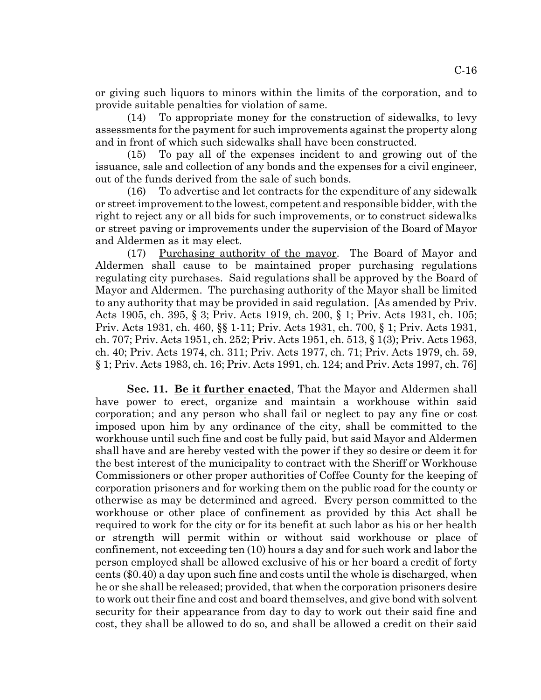or giving such liquors to minors within the limits of the corporation, and to provide suitable penalties for violation of same.

(14) To appropriate money for the construction of sidewalks, to levy assessments for the payment for such improvements against the property along and in front of which such sidewalks shall have been constructed.

(15) To pay all of the expenses incident to and growing out of the issuance, sale and collection of any bonds and the expenses for a civil engineer, out of the funds derived from the sale of such bonds.

(16) To advertise and let contracts for the expenditure of any sidewalk or street improvement to the lowest, competent and responsible bidder, with the right to reject any or all bids for such improvements, or to construct sidewalks or street paving or improvements under the supervision of the Board of Mayor and Aldermen as it may elect.

(17) Purchasing authority of the mayor. The Board of Mayor and Aldermen shall cause to be maintained proper purchasing regulations regulating city purchases. Said regulations shall be approved by the Board of Mayor and Aldermen. The purchasing authority of the Mayor shall be limited to any authority that may be provided in said regulation. [As amended by Priv. Acts 1905, ch. 395, § 3; Priv. Acts 1919, ch. 200, § 1; Priv. Acts 1931, ch. 105; Priv. Acts 1931, ch. 460, §§ 1-11; Priv. Acts 1931, ch. 700, § 1; Priv. Acts 1931, ch. 707; Priv. Acts 1951, ch. 252; Priv. Acts 1951, ch. 513, § 1(3); Priv. Acts 1963, ch. 40; Priv. Acts 1974, ch. 311; Priv. Acts 1977, ch. 71; Priv. Acts 1979, ch. 59, § 1; Priv. Acts 1983, ch. 16; Priv. Acts 1991, ch. 124; and Priv. Acts 1997, ch. 76]

**Sec. 11. Be it further enacted**, That the Mayor and Aldermen shall have power to erect, organize and maintain a workhouse within said corporation; and any person who shall fail or neglect to pay any fine or cost imposed upon him by any ordinance of the city, shall be committed to the workhouse until such fine and cost be fully paid, but said Mayor and Aldermen shall have and are hereby vested with the power if they so desire or deem it for the best interest of the municipality to contract with the Sheriff or Workhouse Commissioners or other proper authorities of Coffee County for the keeping of corporation prisoners and for working them on the public road for the county or otherwise as may be determined and agreed. Every person committed to the workhouse or other place of confinement as provided by this Act shall be required to work for the city or for its benefit at such labor as his or her health or strength will permit within or without said workhouse or place of confinement, not exceeding ten (10) hours a day and for such work and labor the person employed shall be allowed exclusive of his or her board a credit of forty cents (\$0.40) a day upon such fine and costs until the whole is discharged, when he or she shall be released; provided, that when the corporation prisoners desire to work out their fine and cost and board themselves, and give bond with solvent security for their appearance from day to day to work out their said fine and cost, they shall be allowed to do so, and shall be allowed a credit on their said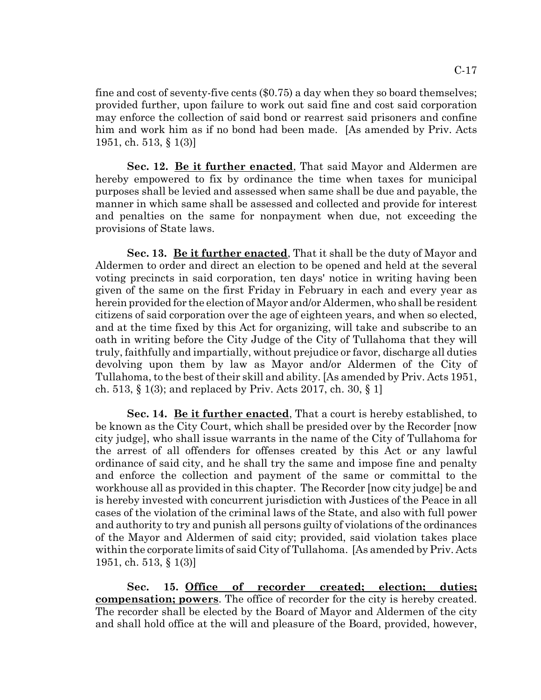fine and cost of seventy-five cents (\$0.75) a day when they so board themselves; provided further, upon failure to work out said fine and cost said corporation may enforce the collection of said bond or rearrest said prisoners and confine him and work him as if no bond had been made. [As amended by Priv. Acts 1951, ch. 513, § 1(3)]

**Sec. 12. Be it further enacted**, That said Mayor and Aldermen are hereby empowered to fix by ordinance the time when taxes for municipal purposes shall be levied and assessed when same shall be due and payable, the manner in which same shall be assessed and collected and provide for interest and penalties on the same for nonpayment when due, not exceeding the provisions of State laws.

**Sec. 13. Be it further enacted**, That it shall be the duty of Mayor and Aldermen to order and direct an election to be opened and held at the several voting precincts in said corporation, ten days' notice in writing having been given of the same on the first Friday in February in each and every year as herein provided for the election of Mayor and/or Aldermen, who shall be resident citizens of said corporation over the age of eighteen years, and when so elected, and at the time fixed by this Act for organizing, will take and subscribe to an oath in writing before the City Judge of the City of Tullahoma that they will truly, faithfully and impartially, without prejudice or favor, discharge all duties devolving upon them by law as Mayor and/or Aldermen of the City of Tullahoma, to the best of their skill and ability. [As amended by Priv. Acts 1951, ch. 513, § 1(3); and replaced by Priv. Acts 2017, ch. 30, § 1]

**Sec. 14. Be it further enacted**, That a court is hereby established, to be known as the City Court, which shall be presided over by the Recorder [now city judge], who shall issue warrants in the name of the City of Tullahoma for the arrest of all offenders for offenses created by this Act or any lawful ordinance of said city, and he shall try the same and impose fine and penalty and enforce the collection and payment of the same or committal to the workhouse all as provided in this chapter. The Recorder [now city judge] be and is hereby invested with concurrent jurisdiction with Justices of the Peace in all cases of the violation of the criminal laws of the State, and also with full power and authority to try and punish all persons guilty of violations of the ordinances of the Mayor and Aldermen of said city; provided, said violation takes place within the corporate limits of said City of Tullahoma. [As amended by Priv. Acts 1951, ch. 513, § 1(3)]

**Sec. 15. Office of recorder created; election; duties; compensation; powers**. The office of recorder for the city is hereby created. The recorder shall be elected by the Board of Mayor and Aldermen of the city and shall hold office at the will and pleasure of the Board, provided, however,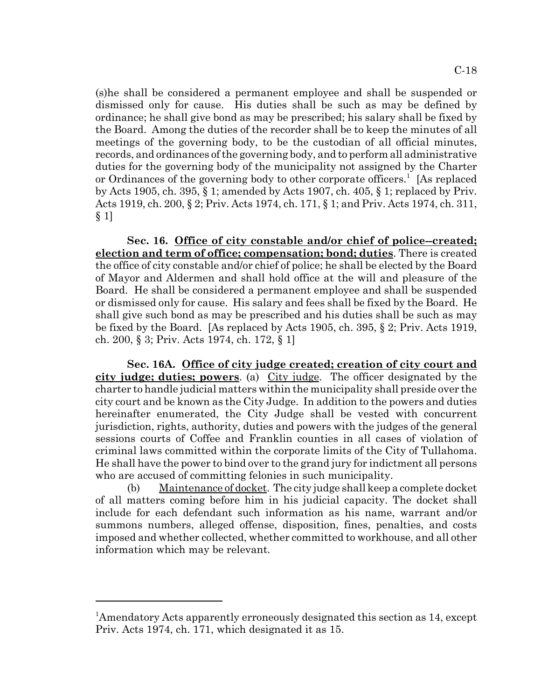(s)he shall be considered a permanent employee and shall be suspended or dismissed only for cause. His duties shall be such as may be defined by ordinance; he shall give bond as may be prescribed; his salary shall be fixed by the Board. Among the duties of the recorder shall be to keep the minutes of all meetings of the governing body, to be the custodian of all official minutes, records, and ordinances of the governing body, and to perform all administrative duties for the governing body of the municipality not assigned by the Charter or Ordinances of the governing body to other corporate officers.<sup>1</sup> [As replaced by Acts 1905, ch. 395, § 1; amended by Acts 1907, ch. 405, § 1; replaced by Priv. Acts 1919, ch. 200, § 2; Priv. Acts 1974, ch. 171, § 1; and Priv. Acts 1974, ch. 311, § 1]

Sec. 16. Office of city constable and/or chief of police-created; **election and term of office; compensation; bond; duties**. There is created the office of city constable and/or chief of police; he shall be elected by the Board of Mayor and Aldermen and shall hold office at the will and pleasure of the Board. He shall be considered a permanent employee and shall be suspended or dismissed only for cause. His salary and fees shall be fixed by the Board. He shall give such bond as may be prescribed and his duties shall be such as may be fixed by the Board. [As replaced by Acts 1905, ch. 395, § 2; Priv. Acts 1919, ch. 200, § 3; Priv. Acts 1974, ch. 172, § 1]

**Sec. 16A. Office of city judge created; creation of city court and city judge; duties; powers**. (a) City judge. The officer designated by the charter to handle judicial matters within the municipality shall preside over the city court and be known as the City Judge. In addition to the powers and duties hereinafter enumerated, the City Judge shall be vested with concurrent jurisdiction, rights, authority, duties and powers with the judges of the general sessions courts of Coffee and Franklin counties in all cases of violation of criminal laws committed within the corporate limits of the City of Tullahoma. He shall have the power to bind over to the grand jury for indictment all persons who are accused of committing felonies in such municipality.

(b) Maintenance of docket. The city judge shall keep a complete docket of all matters coming before him in his judicial capacity. The docket shall include for each defendant such information as his name, warrant and/or summons numbers, alleged offense, disposition, fines, penalties, and costs imposed and whether collected, whether committed to workhouse, and all other information which may be relevant.

<sup>&</sup>lt;sup>1</sup>Amendatory Acts apparently erroneously designated this section as 14, except Priv. Acts 1974, ch. 171, which designated it as 15.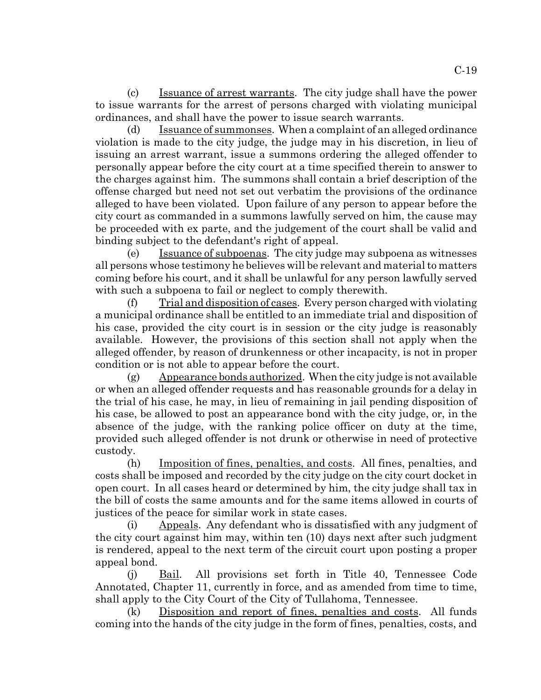(c) Issuance of arrest warrants. The city judge shall have the power to issue warrants for the arrest of persons charged with violating municipal ordinances, and shall have the power to issue search warrants.

(d) Issuance of summonses. When a complaint of an alleged ordinance violation is made to the city judge, the judge may in his discretion, in lieu of issuing an arrest warrant, issue a summons ordering the alleged offender to personally appear before the city court at a time specified therein to answer to the charges against him. The summons shall contain a brief description of the offense charged but need not set out verbatim the provisions of the ordinance alleged to have been violated. Upon failure of any person to appear before the city court as commanded in a summons lawfully served on him, the cause may be proceeded with ex parte, and the judgement of the court shall be valid and binding subject to the defendant's right of appeal.

(e) Issuance of subpoenas. The city judge may subpoena as witnesses all persons whose testimony he believes will be relevant and material to matters coming before his court, and it shall be unlawful for any person lawfully served with such a subpoena to fail or neglect to comply therewith.

(f) Trial and disposition of cases. Every person charged with violating a municipal ordinance shall be entitled to an immediate trial and disposition of his case, provided the city court is in session or the city judge is reasonably available. However, the provisions of this section shall not apply when the alleged offender, by reason of drunkenness or other incapacity, is not in proper condition or is not able to appear before the court.

 $(g)$  Appearance bonds authorized. When the city judge is not available or when an alleged offender requests and has reasonable grounds for a delay in the trial of his case, he may, in lieu of remaining in jail pending disposition of his case, be allowed to post an appearance bond with the city judge, or, in the absence of the judge, with the ranking police officer on duty at the time, provided such alleged offender is not drunk or otherwise in need of protective custody.

(h) Imposition of fines, penalties, and costs. All fines, penalties, and costs shall be imposed and recorded by the city judge on the city court docket in open court. In all cases heard or determined by him, the city judge shall tax in the bill of costs the same amounts and for the same items allowed in courts of justices of the peace for similar work in state cases.

(i) Appeals. Any defendant who is dissatisfied with any judgment of the city court against him may, within ten (10) days next after such judgment is rendered, appeal to the next term of the circuit court upon posting a proper appeal bond.

(j) Bail. All provisions set forth in Title 40, Tennessee Code Annotated, Chapter 11, currently in force, and as amended from time to time, shall apply to the City Court of the City of Tullahoma, Tennessee.

(k) Disposition and report of fines, penalties and costs. All funds coming into the hands of the city judge in the form of fines, penalties, costs, and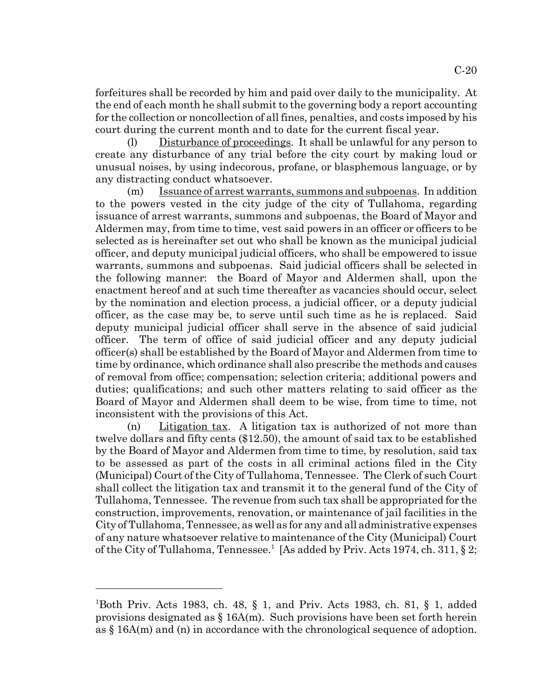forfeitures shall be recorded by him and paid over daily to the municipality. At the end of each month he shall submit to the governing body a report accounting for the collection or noncollection of all fines, penalties, and costs imposed by his court during the current month and to date for the current fiscal year.

(l) Disturbance of proceedings. It shall be unlawful for any person to create any disturbance of any trial before the city court by making loud or unusual noises, by using indecorous, profane, or blasphemous language, or by any distracting conduct whatsoever.

(m) Issuance of arrest warrants, summons and subpoenas. In addition to the powers vested in the city judge of the city of Tullahoma, regarding issuance of arrest warrants, summons and subpoenas, the Board of Mayor and Aldermen may, from time to time, vest said powers in an officer or officers to be selected as is hereinafter set out who shall be known as the municipal judicial officer, and deputy municipal judicial officers, who shall be empowered to issue warrants, summons and subpoenas. Said judicial officers shall be selected in the following manner: the Board of Mayor and Aldermen shall, upon the enactment hereof and at such time thereafter as vacancies should occur, select by the nomination and election process, a judicial officer, or a deputy judicial officer, as the case may be, to serve until such time as he is replaced. Said deputy municipal judicial officer shall serve in the absence of said judicial officer. The term of office of said judicial officer and any deputy judicial officer(s) shall be established by the Board of Mayor and Aldermen from time to time by ordinance, which ordinance shall also prescribe the methods and causes of removal from office; compensation; selection criteria; additional powers and duties; qualifications; and such other matters relating to said officer as the Board of Mayor and Aldermen shall deem to be wise, from time to time, not inconsistent with the provisions of this Act.

(n) Litigation tax. A litigation tax is authorized of not more than twelve dollars and fifty cents (\$12.50), the amount of said tax to be established by the Board of Mayor and Aldermen from time to time, by resolution, said tax to be assessed as part of the costs in all criminal actions filed in the City (Municipal) Court of the City of Tullahoma, Tennessee. The Clerk of such Court shall collect the litigation tax and transmit it to the general fund of the City of Tullahoma, Tennessee. The revenue from such tax shall be appropriated for the construction, improvements, renovation, or maintenance of jail facilities in the City of Tullahoma, Tennessee, as well as for any and all administrative expenses of any nature whatsoever relative to maintenance of the City (Municipal) Court of the City of Tullahoma, Tennessee.<sup>1</sup> [As added by Priv. Acts 1974, ch. 311, § 2;

<sup>1</sup> Both Priv. Acts 1983, ch. 48, § 1, and Priv. Acts 1983, ch. 81, § 1, added provisions designated as  $\S 16A(m)$ . Such provisions have been set forth herein as § 16A(m) and (n) in accordance with the chronological sequence of adoption.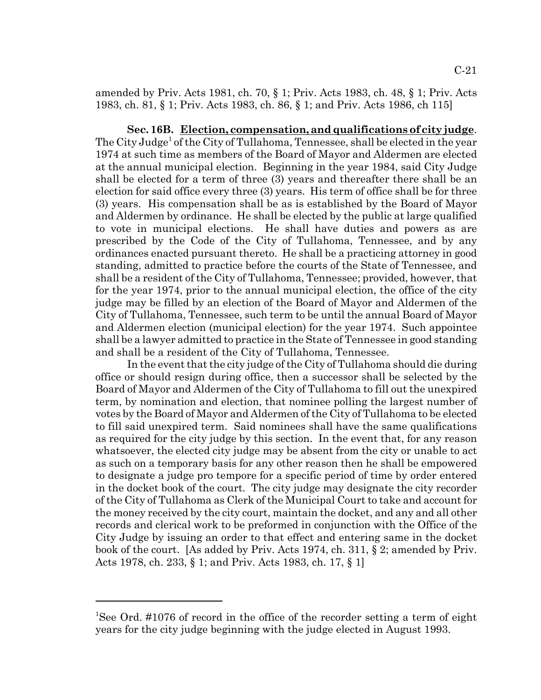amended by Priv. Acts 1981, ch. 70, § 1; Priv. Acts 1983, ch. 48, § 1; Priv. Acts 1983, ch. 81, § 1; Priv. Acts 1983, ch. 86, § 1; and Priv. Acts 1986, ch 115]

**Sec. 16B. Election, compensation, and qualifications of city judge**. The City Judge<sup>1</sup> of the City of Tullahoma, Tennessee, shall be elected in the year 1974 at such time as members of the Board of Mayor and Aldermen are elected at the annual municipal election. Beginning in the year 1984, said City Judge shall be elected for a term of three (3) years and thereafter there shall be an election for said office every three (3) years. His term of office shall be for three (3) years. His compensation shall be as is established by the Board of Mayor and Aldermen by ordinance. He shall be elected by the public at large qualified to vote in municipal elections. He shall have duties and powers as are prescribed by the Code of the City of Tullahoma, Tennessee, and by any ordinances enacted pursuant thereto. He shall be a practicing attorney in good standing, admitted to practice before the courts of the State of Tennessee, and shall be a resident of the City of Tullahoma, Tennessee; provided, however, that for the year 1974, prior to the annual municipal election, the office of the city judge may be filled by an election of the Board of Mayor and Aldermen of the City of Tullahoma, Tennessee, such term to be until the annual Board of Mayor and Aldermen election (municipal election) for the year 1974. Such appointee shall be a lawyer admitted to practice in the State of Tennessee in good standing and shall be a resident of the City of Tullahoma, Tennessee.

In the event that the city judge of the City of Tullahoma should die during office or should resign during office, then a successor shall be selected by the Board of Mayor and Aldermen of the City of Tullahoma to fill out the unexpired term, by nomination and election, that nominee polling the largest number of votes by the Board of Mayor and Aldermen of the City of Tullahoma to be elected to fill said unexpired term. Said nominees shall have the same qualifications as required for the city judge by this section. In the event that, for any reason whatsoever, the elected city judge may be absent from the city or unable to act as such on a temporary basis for any other reason then he shall be empowered to designate a judge pro tempore for a specific period of time by order entered in the docket book of the court. The city judge may designate the city recorder of the City of Tullahoma as Clerk of the Municipal Court to take and account for the money received by the city court, maintain the docket, and any and all other records and clerical work to be preformed in conjunction with the Office of the City Judge by issuing an order to that effect and entering same in the docket book of the court. [As added by Priv. Acts 1974, ch. 311, § 2; amended by Priv. Acts 1978, ch. 233, § 1; and Priv. Acts 1983, ch. 17, § 1]

<sup>&</sup>lt;sup>1</sup>See Ord. #1076 of record in the office of the recorder setting a term of eight years for the city judge beginning with the judge elected in August 1993.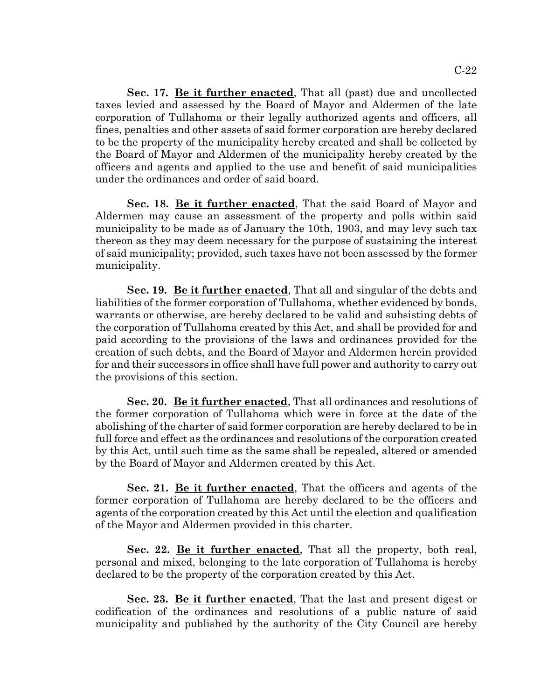**Sec. 17. Be it further enacted**, That all (past) due and uncollected taxes levied and assessed by the Board of Mayor and Aldermen of the late corporation of Tullahoma or their legally authorized agents and officers, all fines, penalties and other assets of said former corporation are hereby declared to be the property of the municipality hereby created and shall be collected by the Board of Mayor and Aldermen of the municipality hereby created by the officers and agents and applied to the use and benefit of said municipalities under the ordinances and order of said board.

**Sec. 18. Be it further enacted**, That the said Board of Mayor and Aldermen may cause an assessment of the property and polls within said municipality to be made as of January the 10th, 1903, and may levy such tax thereon as they may deem necessary for the purpose of sustaining the interest of said municipality; provided, such taxes have not been assessed by the former municipality.

**Sec. 19. Be it further enacted**, That all and singular of the debts and liabilities of the former corporation of Tullahoma, whether evidenced by bonds, warrants or otherwise, are hereby declared to be valid and subsisting debts of the corporation of Tullahoma created by this Act, and shall be provided for and paid according to the provisions of the laws and ordinances provided for the creation of such debts, and the Board of Mayor and Aldermen herein provided for and their successors in office shall have full power and authority to carry out the provisions of this section.

**Sec. 20. Be it further enacted**, That all ordinances and resolutions of the former corporation of Tullahoma which were in force at the date of the abolishing of the charter of said former corporation are hereby declared to be in full force and effect as the ordinances and resolutions of the corporation created by this Act, until such time as the same shall be repealed, altered or amended by the Board of Mayor and Aldermen created by this Act.

**Sec. 21. Be it further enacted**, That the officers and agents of the former corporation of Tullahoma are hereby declared to be the officers and agents of the corporation created by this Act until the election and qualification of the Mayor and Aldermen provided in this charter.

Sec. 22. Be it further enacted, That all the property, both real, personal and mixed, belonging to the late corporation of Tullahoma is hereby declared to be the property of the corporation created by this Act.

**Sec. 23. Be it further enacted**, That the last and present digest or codification of the ordinances and resolutions of a public nature of said municipality and published by the authority of the City Council are hereby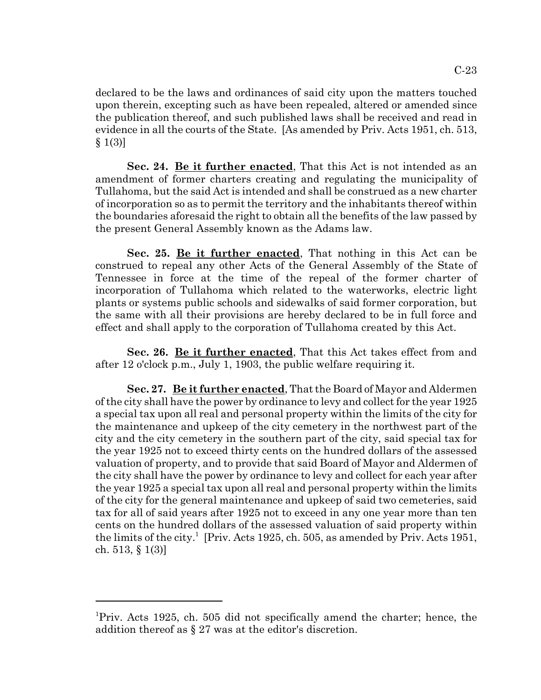declared to be the laws and ordinances of said city upon the matters touched upon therein, excepting such as have been repealed, altered or amended since the publication thereof, and such published laws shall be received and read in evidence in all the courts of the State. [As amended by Priv. Acts 1951, ch. 513,  $§ 1(3)$ 

**Sec. 24. Be it further enacted**, That this Act is not intended as an amendment of former charters creating and regulating the municipality of Tullahoma, but the said Act is intended and shall be construed as a new charter of incorporation so as to permit the territory and the inhabitants thereof within the boundaries aforesaid the right to obtain all the benefits of the law passed by the present General Assembly known as the Adams law.

**Sec. 25. Be it further enacted**, That nothing in this Act can be construed to repeal any other Acts of the General Assembly of the State of Tennessee in force at the time of the repeal of the former charter of incorporation of Tullahoma which related to the waterworks, electric light plants or systems public schools and sidewalks of said former corporation, but the same with all their provisions are hereby declared to be in full force and effect and shall apply to the corporation of Tullahoma created by this Act.

**Sec. 26. Be it further enacted**, That this Act takes effect from and after 12 o'clock p.m., July 1, 1903, the public welfare requiring it.

**Sec. 27. Be it further enacted**, That the Board of Mayor and Aldermen of the city shall have the power by ordinance to levy and collect for the year 1925 a special tax upon all real and personal property within the limits of the city for the maintenance and upkeep of the city cemetery in the northwest part of the city and the city cemetery in the southern part of the city, said special tax for the year 1925 not to exceed thirty cents on the hundred dollars of the assessed valuation of property, and to provide that said Board of Mayor and Aldermen of the city shall have the power by ordinance to levy and collect for each year after the year 1925 a special tax upon all real and personal property within the limits of the city for the general maintenance and upkeep of said two cemeteries, said tax for all of said years after 1925 not to exceed in any one year more than ten cents on the hundred dollars of the assessed valuation of said property within the limits of the city.<sup>1</sup> [Priv. Acts 1925, ch. 505, as amended by Priv. Acts 1951, ch. 513, § 1(3)]

<sup>&</sup>lt;sup>1</sup>Priv. Acts 1925, ch. 505 did not specifically amend the charter; hence, the addition thereof as § 27 was at the editor's discretion.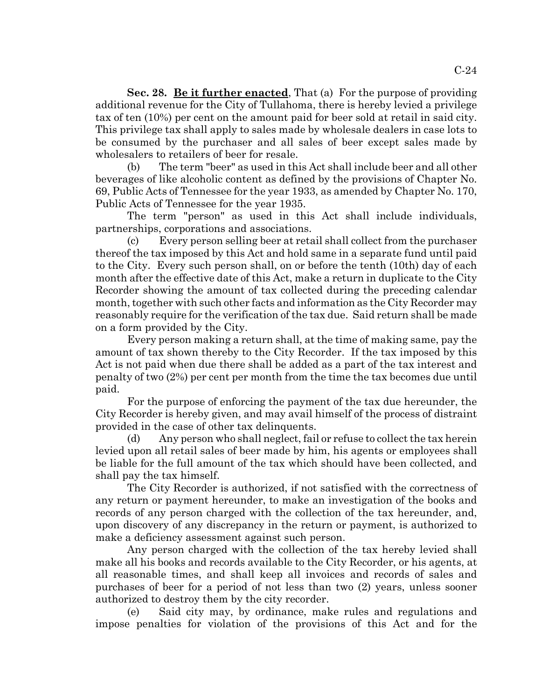**Sec. 28. Be it further enacted**, That (a) For the purpose of providing additional revenue for the City of Tullahoma, there is hereby levied a privilege tax of ten (10%) per cent on the amount paid for beer sold at retail in said city. This privilege tax shall apply to sales made by wholesale dealers in case lots to be consumed by the purchaser and all sales of beer except sales made by wholesalers to retailers of beer for resale.

(b) The term "beer" as used in this Act shall include beer and all other beverages of like alcoholic content as defined by the provisions of Chapter No. 69, Public Acts of Tennessee for the year 1933, as amended by Chapter No. 170, Public Acts of Tennessee for the year 1935.

The term "person" as used in this Act shall include individuals, partnerships, corporations and associations.

(c) Every person selling beer at retail shall collect from the purchaser thereof the tax imposed by this Act and hold same in a separate fund until paid to the City. Every such person shall, on or before the tenth (10th) day of each month after the effective date of this Act, make a return in duplicate to the City Recorder showing the amount of tax collected during the preceding calendar month, together with such other facts and information as the City Recorder may reasonably require for the verification of the tax due. Said return shall be made on a form provided by the City.

Every person making a return shall, at the time of making same, pay the amount of tax shown thereby to the City Recorder. If the tax imposed by this Act is not paid when due there shall be added as a part of the tax interest and penalty of two (2%) per cent per month from the time the tax becomes due until paid.

For the purpose of enforcing the payment of the tax due hereunder, the City Recorder is hereby given, and may avail himself of the process of distraint provided in the case of other tax delinquents.

(d) Any person who shall neglect, fail or refuse to collect the tax herein levied upon all retail sales of beer made by him, his agents or employees shall be liable for the full amount of the tax which should have been collected, and shall pay the tax himself.

The City Recorder is authorized, if not satisfied with the correctness of any return or payment hereunder, to make an investigation of the books and records of any person charged with the collection of the tax hereunder, and, upon discovery of any discrepancy in the return or payment, is authorized to make a deficiency assessment against such person.

Any person charged with the collection of the tax hereby levied shall make all his books and records available to the City Recorder, or his agents, at all reasonable times, and shall keep all invoices and records of sales and purchases of beer for a period of not less than two (2) years, unless sooner authorized to destroy them by the city recorder.

(e) Said city may, by ordinance, make rules and regulations and impose penalties for violation of the provisions of this Act and for the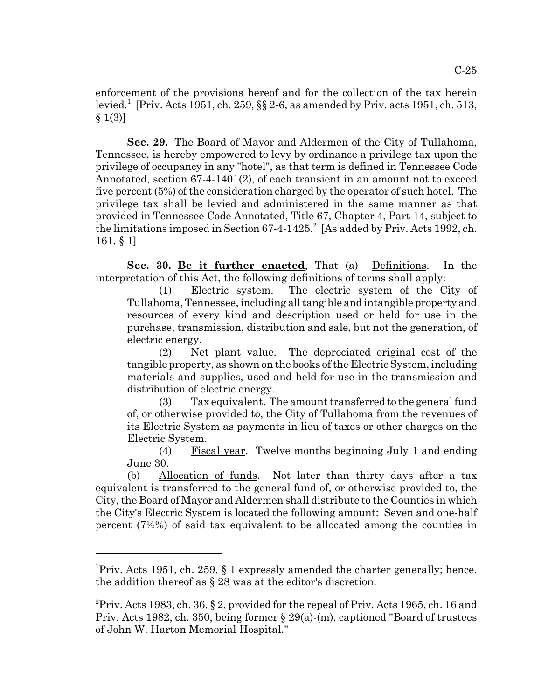enforcement of the provisions hereof and for the collection of the tax herein levied.<sup>1</sup> [Priv. Acts 1951, ch. 259, §§ 2-6, as amended by Priv. acts 1951, ch. 513,  $$1(3)]$ 

**Sec. 29.** The Board of Mayor and Aldermen of the City of Tullahoma, Tennessee, is hereby empowered to levy by ordinance a privilege tax upon the privilege of occupancy in any "hotel", as that term is defined in Tennessee Code Annotated, section 67-4-1401(2), of each transient in an amount not to exceed five percent (5%) of the consideration charged by the operator of such hotel. The privilege tax shall be levied and administered in the same manner as that provided in Tennessee Code Annotated, Title 67, Chapter 4, Part 14, subject to the limitations imposed in Section  $67-4-1425$ .<sup>2</sup> [As added by Priv. Acts 1992, ch. 161, § 1]

Sec. 30. Be it further enacted, That (a) Definitions. In the interpretation of this Act, the following definitions of terms shall apply:

(1) Electric system. The electric system of the City of Tullahoma, Tennessee, including all tangible and intangible property and resources of every kind and description used or held for use in the purchase, transmission, distribution and sale, but not the generation, of electric energy.

(2) Net plant value. The depreciated original cost of the tangible property, as shown on the books of the Electric System, including materials and supplies, used and held for use in the transmission and distribution of electric energy.

 $(3)$  Tax equivalent. The amount transferred to the general fund of, or otherwise provided to, the City of Tullahoma from the revenues of its Electric System as payments in lieu of taxes or other charges on the Electric System.

(4) Fiscal year. Twelve months beginning July 1 and ending June 30.

(b) Allocation of funds. Not later than thirty days after a tax equivalent is transferred to the general fund of, or otherwise provided to, the City, the Board of Mayor and Aldermen shall distribute to the Counties in which the City's Electric System is located the following amount: Seven and one-half percent (7½%) of said tax equivalent to be allocated among the counties in

<sup>&</sup>lt;sup>1</sup>Priv. Acts 1951, ch. 259, § 1 expressly amended the charter generally; hence, the addition thereof as § 28 was at the editor's discretion.

<sup>&</sup>lt;sup>2</sup> Priv. Acts 1983, ch. 36, § 2, provided for the repeal of Priv. Acts 1965, ch. 16 and Priv. Acts 1982, ch. 350, being former § 29(a)-(m), captioned "Board of trustees of John W. Harton Memorial Hospital."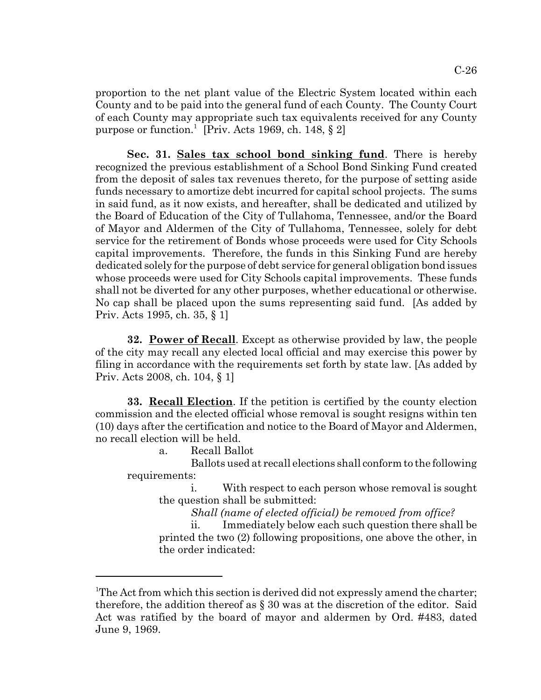proportion to the net plant value of the Electric System located within each County and to be paid into the general fund of each County. The County Court of each County may appropriate such tax equivalents received for any County purpose or function.<sup>1</sup> [Priv. Acts 1969, ch. 148, § 2]

**Sec. 31. Sales tax school bond sinking fund**. There is hereby recognized the previous establishment of a School Bond Sinking Fund created from the deposit of sales tax revenues thereto, for the purpose of setting aside funds necessary to amortize debt incurred for capital school projects. The sums in said fund, as it now exists, and hereafter, shall be dedicated and utilized by the Board of Education of the City of Tullahoma, Tennessee, and/or the Board of Mayor and Aldermen of the City of Tullahoma, Tennessee, solely for debt service for the retirement of Bonds whose proceeds were used for City Schools capital improvements. Therefore, the funds in this Sinking Fund are hereby dedicated solely for the purpose of debt service for general obligation bond issues whose proceeds were used for City Schools capital improvements. These funds shall not be diverted for any other purposes, whether educational or otherwise. No cap shall be placed upon the sums representing said fund. [As added by Priv. Acts 1995, ch. 35, § 1]

**32. Power of Recall**. Except as otherwise provided by law, the people of the city may recall any elected local official and may exercise this power by filing in accordance with the requirements set forth by state law. [As added by Priv. Acts 2008, ch. 104, § 1]

**33. Recall Election**. If the petition is certified by the county election commission and the elected official whose removal is sought resigns within ten (10) days after the certification and notice to the Board of Mayor and Aldermen, no recall election will be held.

a. Recall Ballot

Ballots used at recall elections shall conform to the following requirements:

i. With respect to each person whose removal is sought the question shall be submitted:

*Shall (name of elected official) be removed from office?*

ii. Immediately below each such question there shall be printed the two (2) following propositions, one above the other, in the order indicated:

<sup>&</sup>lt;sup>1</sup>The Act from which this section is derived did not expressly amend the charter; therefore, the addition thereof as § 30 was at the discretion of the editor. Said Act was ratified by the board of mayor and aldermen by Ord. #483, dated June 9, 1969.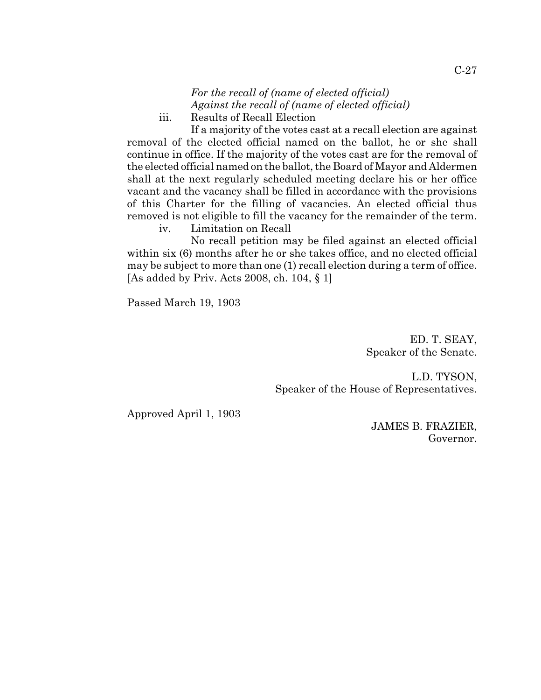*For the recall of (name of elected official) Against the recall of (name of elected official)* iii. Results of Recall Election

If a majority of the votes cast at a recall election are against removal of the elected official named on the ballot, he or she shall continue in office. If the majority of the votes cast are for the removal of the elected official named on the ballot, the Board of Mayor and Aldermen shall at the next regularly scheduled meeting declare his or her office vacant and the vacancy shall be filled in accordance with the provisions of this Charter for the filling of vacancies. An elected official thus removed is not eligible to fill the vacancy for the remainder of the term. iv. Limitation on Recall

No recall petition may be filed against an elected official within six (6) months after he or she takes office, and no elected official may be subject to more than one (1) recall election during a term of office. [As added by Priv. Acts 2008, ch. 104, § 1]

Passed March 19, 1903

ED. T. SEAY, Speaker of the Senate.

L.D. TYSON, Speaker of the House of Representatives.

Approved April 1, 1903

JAMES B. FRAZIER, Governor.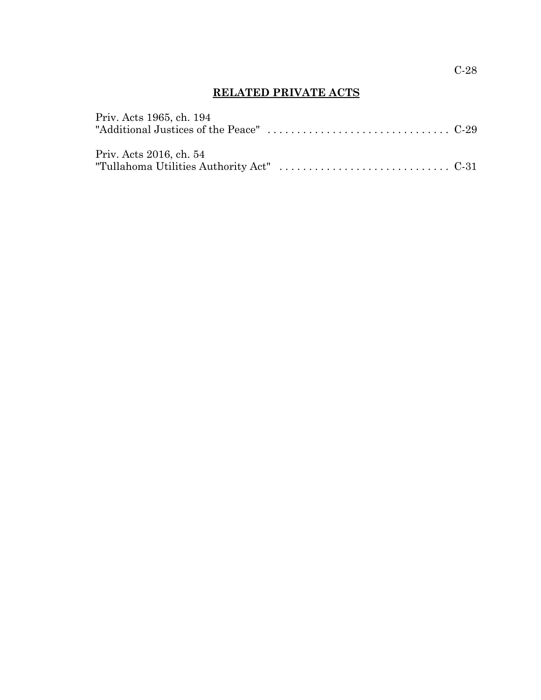# **RELATED PRIVATE ACTS**

| Priv. Acts 1965, ch. 194 |  |
|--------------------------|--|
|                          |  |
|                          |  |
| Priv. Acts 2016, ch. 54  |  |
|                          |  |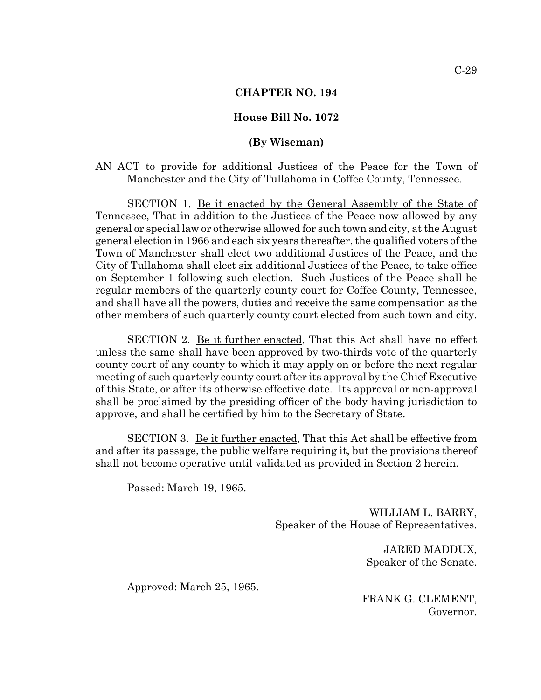### **CHAPTER NO. 194**

### **House Bill No. 1072**

### **(By Wiseman)**

AN ACT to provide for additional Justices of the Peace for the Town of Manchester and the City of Tullahoma in Coffee County, Tennessee.

SECTION 1. Be it enacted by the General Assembly of the State of Tennessee, That in addition to the Justices of the Peace now allowed by any general or special law or otherwise allowed for such town and city, at the August general election in 1966 and each six years thereafter, the qualified voters of the Town of Manchester shall elect two additional Justices of the Peace, and the City of Tullahoma shall elect six additional Justices of the Peace, to take office on September 1 following such election. Such Justices of the Peace shall be regular members of the quarterly county court for Coffee County, Tennessee, and shall have all the powers, duties and receive the same compensation as the other members of such quarterly county court elected from such town and city.

SECTION 2. Be it further enacted, That this Act shall have no effect unless the same shall have been approved by two-thirds vote of the quarterly county court of any county to which it may apply on or before the next regular meeting of such quarterly county court after its approval by the Chief Executive of this State, or after its otherwise effective date. Its approval or non-approval shall be proclaimed by the presiding officer of the body having jurisdiction to approve, and shall be certified by him to the Secretary of State.

SECTION 3. Be it further enacted, That this Act shall be effective from and after its passage, the public welfare requiring it, but the provisions thereof shall not become operative until validated as provided in Section 2 herein.

Passed: March 19, 1965.

WILLIAM L. BARRY, Speaker of the House of Representatives.

> JARED MADDUX, Speaker of the Senate.

Approved: March 25, 1965.

FRANK G. CLEMENT, Governor.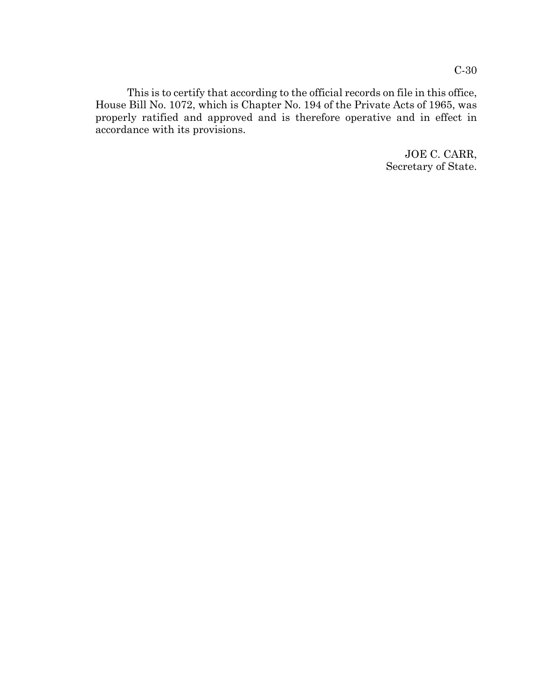This is to certify that according to the official records on file in this office, House Bill No. 1072, which is Chapter No. 194 of the Private Acts of 1965, was properly ratified and approved and is therefore operative and in effect in accordance with its provisions.

> JOE C. CARR, Secretary of State.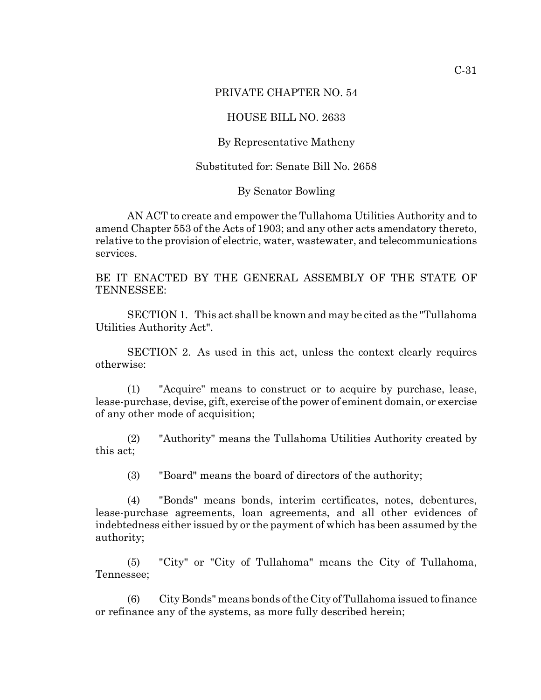## PRIVATE CHAPTER NO. 54

## HOUSE BILL NO. 2633

## By Representative Matheny

## Substituted for: Senate Bill No. 2658

#### By Senator Bowling

AN ACT to create and empower the Tullahoma Utilities Authority and to amend Chapter 553 of the Acts of 1903; and any other acts amendatory thereto, relative to the provision of electric, water, wastewater, and telecommunications services.

BE IT ENACTED BY THE GENERAL ASSEMBLY OF THE STATE OF TENNESSEE:

SECTION 1. This act shall be known and may be cited as the ''Tullahoma Utilities Authority Act".

SECTION 2. As used in this act, unless the context clearly requires otherwise:

(1) "Acquire" means to construct or to acquire by purchase, lease, lease-purchase, devise, gift, exercise of the power of eminent domain, or exercise of any other mode of acquisition;

(2) "Authority" means the Tullahoma Utilities Authority created by this act;

(3) "Board" means the board of directors of the authority;

(4) "Bonds" means bonds, interim certificates, notes, debentures, lease-purchase agreements, loan agreements, and all other evidences of indebtedness either issued by or the payment of which has been assumed by the authority;

(5) "City" or "City of Tullahoma" means the City of Tullahoma, Tennessee;

(6) City Bonds" means bonds of the City of Tullahoma issued to finance or refinance any of the systems, as more fully described herein;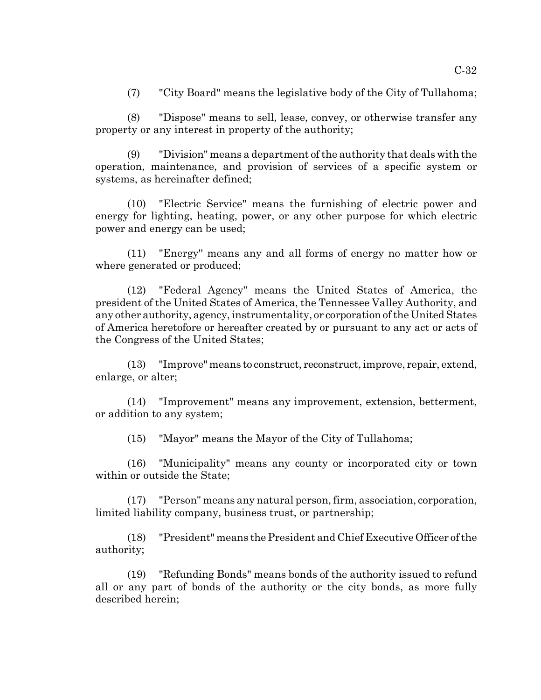(7) "City Board" means the legislative body of the City of Tullahoma;

(8) "Dispose" means to sell, lease, convey, or otherwise transfer any property or any interest in property of the authority;

(9) "Division" means a department of the authority that deals with the operation, maintenance, and provision of services of a specific system or systems, as hereinafter defined;

(10) "Electric Service" means the furnishing of electric power and energy for lighting, heating, power, or any other purpose for which electric power and energy can be used;

(11) "Energy'' means any and all forms of energy no matter how or where generated or produced;

(12) "Federal Agency" means the United States of America, the president of the United States of America, the Tennessee Valley Authority, and any other authority, agency, instrumentality, or corporation of the United States of America heretofore or hereafter created by or pursuant to any act or acts of the Congress of the United States;

(13) "Improve" means to construct, reconstruct, improve, repair, extend, enlarge, or alter;

(14) "Improvement" means any improvement, extension, betterment, or addition to any system;

(15) "Mayor" means the Mayor of the City of Tullahoma;

(16) "Municipality" means any county or incorporated city or town within or outside the State;

(17) "Person" means any natural person, firm, association, corporation, limited liability company, business trust, or partnership;

(18) "President" means the President and Chief Executive Officer of the authority;

(19) "Refunding Bonds" means bonds of the authority issued to refund all or any part of bonds of the authority or the city bonds, as more fully described herein;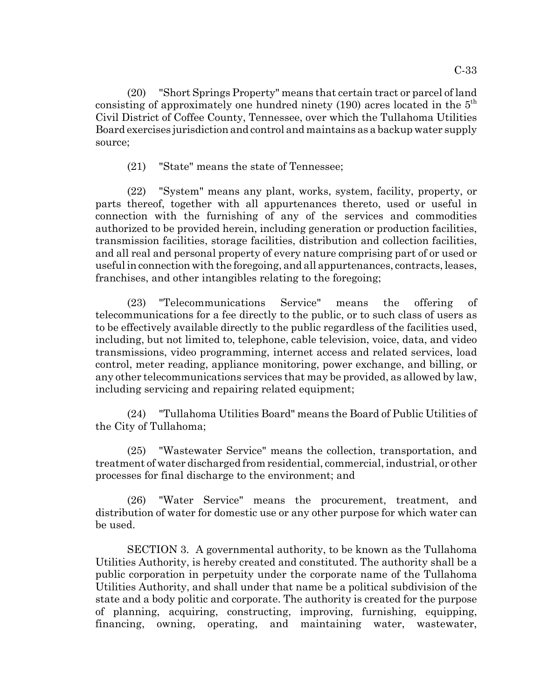(20) "Short Springs Property" means that certain tract or parcel of land consisting of approximately one hundred ninety  $(190)$  acres located in the  $5<sup>th</sup>$ Civil District of Coffee County, Tennessee, over which the Tullahoma Utilities Board exercises jurisdiction and control and maintains as a backup water supply source;

(21) "State" means the state of Tennessee;

(22) "System" means any plant, works, system, facility, property, or parts thereof, together with all appurtenances thereto, used or useful in connection with the furnishing of any of the services and commodities authorized to be provided herein, including generation or production facilities, transmission facilities, storage facilities, distribution and collection facilities, and all real and personal property of every nature comprising part of or used or useful in connection with the foregoing, and all appurtenances, contracts, leases, franchises, and other intangibles relating to the foregoing;

(23) "Telecommunications Service" means the offering of telecommunications for a fee directly to the public, or to such class of users as to be effectively available directly to the public regardless of the facilities used, including, but not limited to, telephone, cable television, voice, data, and video transmissions, video programming, internet access and related services, load control, meter reading, appliance monitoring, power exchange, and billing, or any other telecommunications services that may be provided, as allowed by law, including servicing and repairing related equipment;

(24) "Tullahoma Utilities Board" means the Board of Public Utilities of the City of Tullahoma;

(25) "Wastewater Service" means the collection, transportation, and treatment of water discharged from residential, commercial, industrial, or other processes for final discharge to the environment; and

(26) "Water Service" means the procurement, treatment, and distribution of water for domestic use or any other purpose for which water can be used.

SECTION 3. A governmental authority, to be known as the Tullahoma Utilities Authority, is hereby created and constituted. The authority shall be a public corporation in perpetuity under the corporate name of the Tullahoma Utilities Authority, and shall under that name be a political subdivision of the state and a body politic and corporate. The authority is created for the purpose of planning, acquiring, constructing, improving, furnishing, equipping, financing, owning, operating, and maintaining water, wastewater,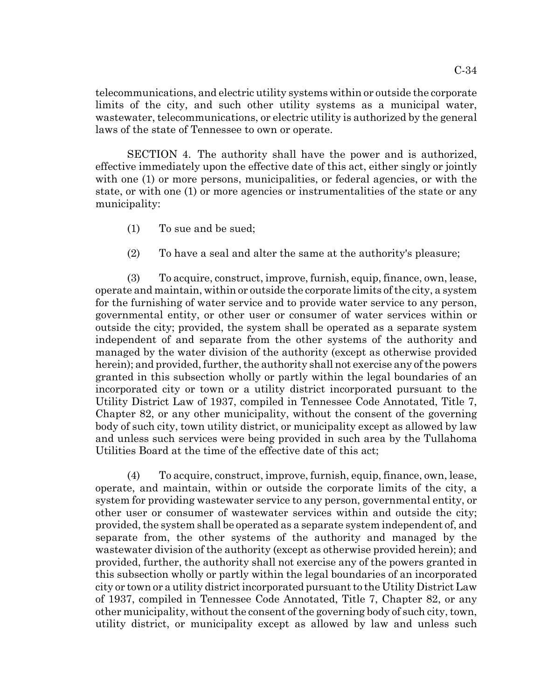telecommunications, and electric utility systems within or outside the corporate limits of the city, and such other utility systems as a municipal water, wastewater, telecommunications, or electric utility is authorized by the general laws of the state of Tennessee to own or operate.

SECTION 4. The authority shall have the power and is authorized, effective immediately upon the effective date of this act, either singly or jointly with one (1) or more persons, municipalities, or federal agencies, or with the state, or with one (1) or more agencies or instrumentalities of the state or any municipality:

- (1) To sue and be sued;
- (2) To have a seal and alter the same at the authority's pleasure;

(3) To acquire, construct, improve, furnish, equip, finance, own, lease, operate and maintain, within or outside the corporate limits of the city, a system for the furnishing of water service and to provide water service to any person, governmental entity, or other user or consumer of water services within or outside the city; provided, the system shall be operated as a separate system independent of and separate from the other systems of the authority and managed by the water division of the authority (except as otherwise provided herein); and provided, further, the authority shall not exercise any of the powers granted in this subsection wholly or partly within the legal boundaries of an incorporated city or town or a utility district incorporated pursuant to the Utility District Law of 1937, compiled in Tennessee Code Annotated, Title 7, Chapter 82, or any other municipality, without the consent of the governing body of such city, town utility district, or municipality except as allowed by law and unless such services were being provided in such area by the Tullahoma Utilities Board at the time of the effective date of this act;

(4) To acquire, construct, improve, furnish, equip, finance, own, lease, operate, and maintain, within or outside the corporate limits of the city, a system for providing wastewater service to any person, governmental entity, or other user or consumer of wastewater services within and outside the city; provided, the system shall be operated as a separate system independent of, and separate from, the other systems of the authority and managed by the wastewater division of the authority (except as otherwise provided herein); and provided, further, the authority shall not exercise any of the powers granted in this subsection wholly or partly within the legal boundaries of an incorporated city or town or a utility district incorporated pursuant to the Utility District Law of 1937, compiled in Tennessee Code Annotated, Title 7, Chapter 82, or any other municipality, without the consent of the governing body of such city, town, utility district, or municipality except as allowed by law and unless such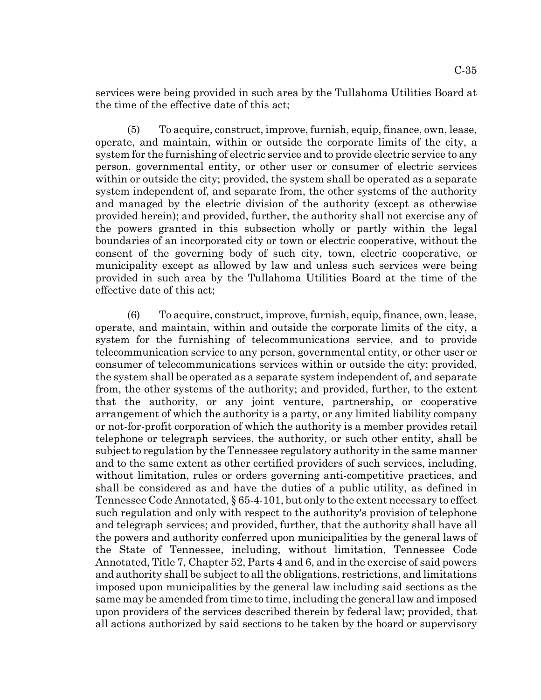services were being provided in such area by the Tullahoma Utilities Board at the time of the effective date of this act;

(5) To acquire, construct, improve, furnish, equip, finance, own, lease, operate, and maintain, within or outside the corporate limits of the city, a system for the furnishing of electric service and to provide electric service to any person, governmental entity, or other user or consumer of electric services within or outside the city; provided, the system shall be operated as a separate system independent of, and separate from, the other systems of the authority and managed by the electric division of the authority (except as otherwise provided herein); and provided, further, the authority shall not exercise any of the powers granted in this subsection wholly or partly within the legal boundaries of an incorporated city or town or electric cooperative, without the consent of the governing body of such city, town, electric cooperative, or municipality except as allowed by law and unless such services were being provided in such area by the Tullahoma Utilities Board at the time of the effective date of this act;

(6) To acquire, construct, improve, furnish, equip, finance, own, lease, operate, and maintain, within and outside the corporate limits of the city, a system for the furnishing of telecommunications service, and to provide telecommunication service to any person, governmental entity, or other user or consumer of telecommunications services within or outside the city; provided, the system shall be operated as a separate system independent of, and separate from, the other systems of the authority; and provided, further, to the extent that the authority, or any joint venture, partnership, or cooperative arrangement of which the authority is a party, or any limited liability company or not-for-profit corporation of which the authority is a member provides retail telephone or telegraph services, the authority, or such other entity, shall be subject to regulation by the Tennessee regulatory authority in the same manner and to the same extent as other certified providers of such services, including, without limitation, rules or orders governing anti-competitive practices, and shall be considered as and have the duties of a public utility, as defined in Tennessee Code Annotated, § 65-4-101, but only to the extent necessary to effect such regulation and only with respect to the authority's provision of telephone and telegraph services; and provided, further, that the authority shall have all the powers and authority conferred upon municipalities by the general laws of the State of Tennessee, including, without limitation, Tennessee Code Annotated, Title 7, Chapter 52, Parts 4 and 6, and in the exercise of said powers and authority shall be subject to all the obligations, restrictions, and limitations imposed upon municipalities by the general law including said sections as the same may be amended from time to time, including the general law and imposed upon providers of the services described therein by federal law; provided, that all actions authorized by said sections to be taken by the board or supervisory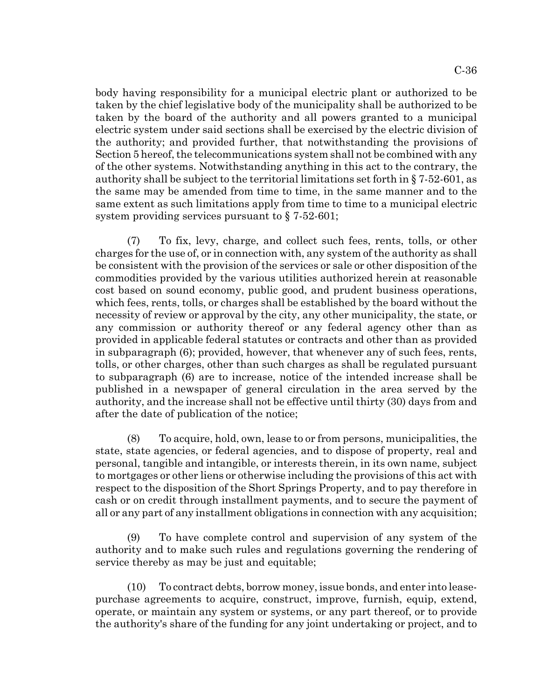body having responsibility for a municipal electric plant or authorized to be taken by the chief legislative body of the municipality shall be authorized to be taken by the board of the authority and all powers granted to a municipal electric system under said sections shall be exercised by the electric division of the authority; and provided further, that notwithstanding the provisions of Section 5 hereof, the telecommunications system shall not be combined with any of the other systems. Notwithstanding anything in this act to the contrary, the authority shall be subject to the territorial limitations set forth in § 7-52-601, as the same may be amended from time to time, in the same manner and to the same extent as such limitations apply from time to time to a municipal electric system providing services pursuant to § 7-52-601;

(7) To fix, levy, charge, and collect such fees, rents, tolls, or other charges for the use of, or in connection with, any system of the authority as shall be consistent with the provision of the services or sale or other disposition of the commodities provided by the various utilities authorized herein at reasonable cost based on sound economy, public good, and prudent business operations, which fees, rents, tolls, or charges shall be established by the board without the necessity of review or approval by the city, any other municipality, the state, or any commission or authority thereof or any federal agency other than as provided in applicable federal statutes or contracts and other than as provided in subparagraph (6); provided, however, that whenever any of such fees, rents, tolls, or other charges, other than such charges as shall be regulated pursuant to subparagraph (6) are to increase, notice of the intended increase shall be published in a newspaper of general circulation in the area served by the authority, and the increase shall not be effective until thirty (30) days from and after the date of publication of the notice;

(8) To acquire, hold, own, lease to or from persons, municipalities, the state, state agencies, or federal agencies, and to dispose of property, real and personal, tangible and intangible, or interests therein, in its own name, subject to mortgages or other liens or otherwise including the provisions of this act with respect to the disposition of the Short Springs Property, and to pay therefore in cash or on credit through installment payments, and to secure the payment of all or any part of any installment obligations in connection with any acquisition;

(9) To have complete control and supervision of any system of the authority and to make such rules and regulations governing the rendering of service thereby as may be just and equitable;

(10) To contract debts, borrow money, issue bonds, and enter into leasepurchase agreements to acquire, construct, improve, furnish, equip, extend, operate, or maintain any system or systems, or any part thereof, or to provide the authority's share of the funding for any joint undertaking or project, and to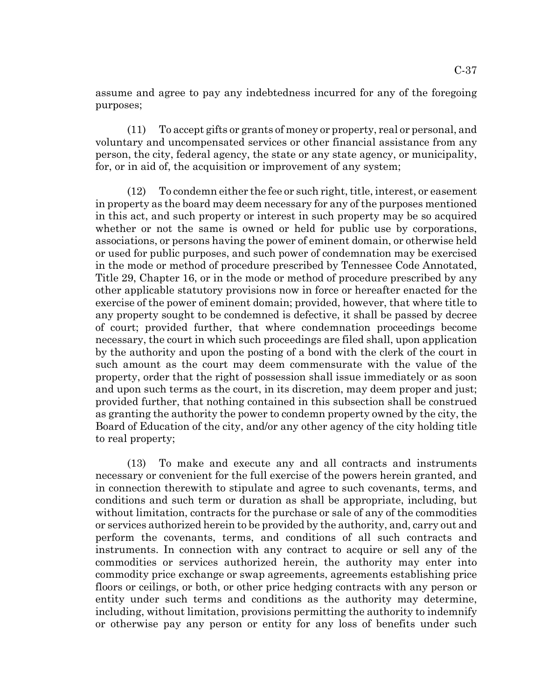assume and agree to pay any indebtedness incurred for any of the foregoing purposes;

(11) To accept gifts or grants of money or property, real or personal, and voluntary and uncompensated services or other financial assistance from any person, the city, federal agency, the state or any state agency, or municipality, for, or in aid of, the acquisition or improvement of any system;

(12) To condemn either the fee or such right, title, interest, or easement in property as the board may deem necessary for any of the purposes mentioned in this act, and such property or interest in such property may be so acquired whether or not the same is owned or held for public use by corporations, associations, or persons having the power of eminent domain, or otherwise held or used for public purposes, and such power of condemnation may be exercised in the mode or method of procedure prescribed by Tennessee Code Annotated, Title 29, Chapter 16, or in the mode or method of procedure prescribed by any other applicable statutory provisions now in force or hereafter enacted for the exercise of the power of eminent domain; provided, however, that where title to any property sought to be condemned is defective, it shall be passed by decree of court; provided further, that where condemnation proceedings become necessary, the court in which such proceedings are filed shall, upon application by the authority and upon the posting of a bond with the clerk of the court in such amount as the court may deem commensurate with the value of the property, order that the right of possession shall issue immediately or as soon and upon such terms as the court, in its discretion, may deem proper and just; provided further, that nothing contained in this subsection shall be construed as granting the authority the power to condemn property owned by the city, the Board of Education of the city, and/or any other agency of the city holding title to real property;

(13) To make and execute any and all contracts and instruments necessary or convenient for the full exercise of the powers herein granted, and in connection therewith to stipulate and agree to such covenants, terms, and conditions and such term or duration as shall be appropriate, including, but without limitation, contracts for the purchase or sale of any of the commodities or services authorized herein to be provided by the authority, and, carry out and perform the covenants, terms, and conditions of all such contracts and instruments. In connection with any contract to acquire or sell any of the commodities or services authorized herein, the authority may enter into commodity price exchange or swap agreements, agreements establishing price floors or ceilings, or both, or other price hedging contracts with any person or entity under such terms and conditions as the authority may determine, including, without limitation, provisions permitting the authority to indemnify or otherwise pay any person or entity for any loss of benefits under such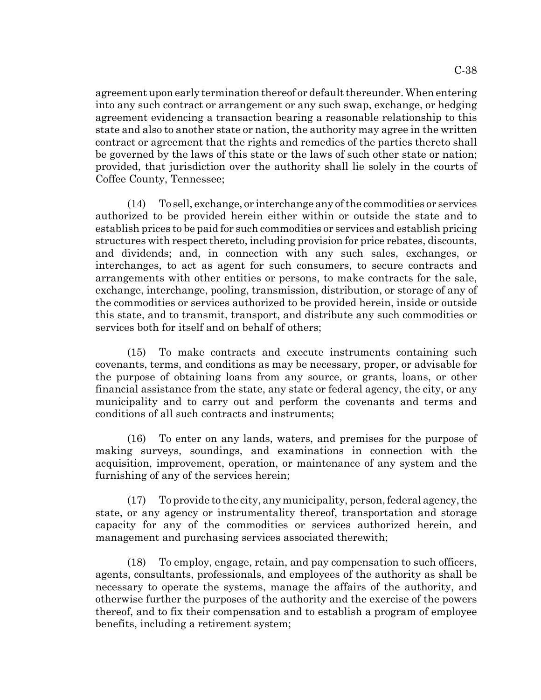agreement upon early termination thereof or default thereunder. When entering into any such contract or arrangement or any such swap, exchange, or hedging agreement evidencing a transaction bearing a reasonable relationship to this state and also to another state or nation, the authority may agree in the written contract or agreement that the rights and remedies of the parties thereto shall be governed by the laws of this state or the laws of such other state or nation; provided, that jurisdiction over the authority shall lie solely in the courts of Coffee County, Tennessee;

(14) To sell, exchange, or interchange any of the commodities or services authorized to be provided herein either within or outside the state and to establish prices to be paid for such commodities or services and establish pricing structures with respect thereto, including provision for price rebates, discounts, and dividends; and, in connection with any such sales, exchanges, or interchanges, to act as agent for such consumers, to secure contracts and arrangements with other entities or persons, to make contracts for the sale, exchange, interchange, pooling, transmission, distribution, or storage of any of the commodities or services authorized to be provided herein, inside or outside this state, and to transmit, transport, and distribute any such commodities or services both for itself and on behalf of others;

(15) To make contracts and execute instruments containing such covenants, terms, and conditions as may be necessary, proper, or advisable for the purpose of obtaining loans from any source, or grants, loans, or other financial assistance from the state, any state or federal agency, the city, or any municipality and to carry out and perform the covenants and terms and conditions of all such contracts and instruments;

(16) To enter on any lands, waters, and premises for the purpose of making surveys, soundings, and examinations in connection with the acquisition, improvement, operation, or maintenance of any system and the furnishing of any of the services herein;

(17) To provide to the city, any municipality, person, federal agency, the state, or any agency or instrumentality thereof, transportation and storage capacity for any of the commodities or services authorized herein, and management and purchasing services associated therewith;

(18) To employ, engage, retain, and pay compensation to such officers, agents, consultants, professionals, and employees of the authority as shall be necessary to operate the systems, manage the affairs of the authority, and otherwise further the purposes of the authority and the exercise of the powers thereof, and to fix their compensation and to establish a program of employee benefits, including a retirement system;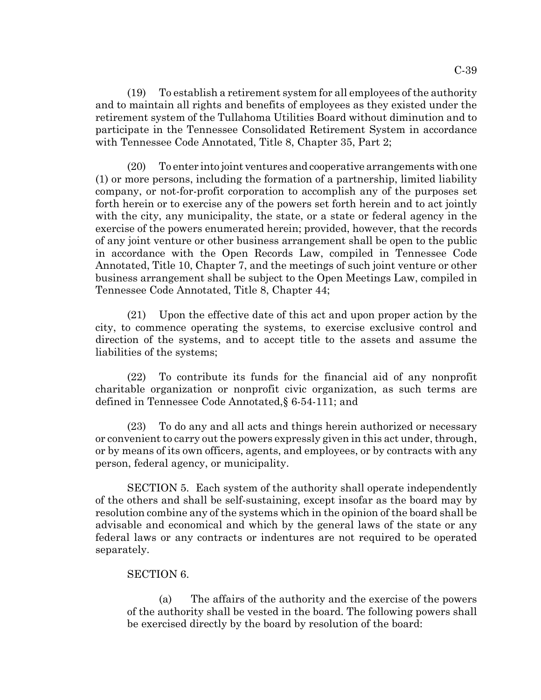(19) To establish a retirement system for all employees of the authority and to maintain all rights and benefits of employees as they existed under the retirement system of the Tullahoma Utilities Board without diminution and to participate in the Tennessee Consolidated Retirement System in accordance with Tennessee Code Annotated, Title 8, Chapter 35, Part 2;

(20) To enter into joint ventures and cooperative arrangements with one (1) or more persons, including the formation of a partnership, limited liability company, or not-for-profit corporation to accomplish any of the purposes set forth herein or to exercise any of the powers set forth herein and to act jointly with the city, any municipality, the state, or a state or federal agency in the exercise of the powers enumerated herein; provided, however, that the records of any joint venture or other business arrangement shall be open to the public in accordance with the Open Records Law, compiled in Tennessee Code Annotated, Title 10, Chapter 7, and the meetings of such joint venture or other business arrangement shall be subject to the Open Meetings Law, compiled in Tennessee Code Annotated, Title 8, Chapter 44;

(21) Upon the effective date of this act and upon proper action by the city, to commence operating the systems, to exercise exclusive control and direction of the systems, and to accept title to the assets and assume the liabilities of the systems;

(22) To contribute its funds for the financial aid of any nonprofit charitable organization or nonprofit civic organization, as such terms are defined in Tennessee Code Annotated,§ 6-54-111; and

(23) To do any and all acts and things herein authorized or necessary or convenient to carry out the powers expressly given in this act under, through, or by means of its own officers, agents, and employees, or by contracts with any person, federal agency, or municipality.

SECTION 5. Each system of the authority shall operate independently of the others and shall be self-sustaining, except insofar as the board may by resolution combine any of the systems which in the opinion of the board shall be advisable and economical and which by the general laws of the state or any federal laws or any contracts or indentures are not required to be operated separately.

## SECTION 6.

(a) The affairs of the authority and the exercise of the powers of the authority shall be vested in the board. The following powers shall be exercised directly by the board by resolution of the board: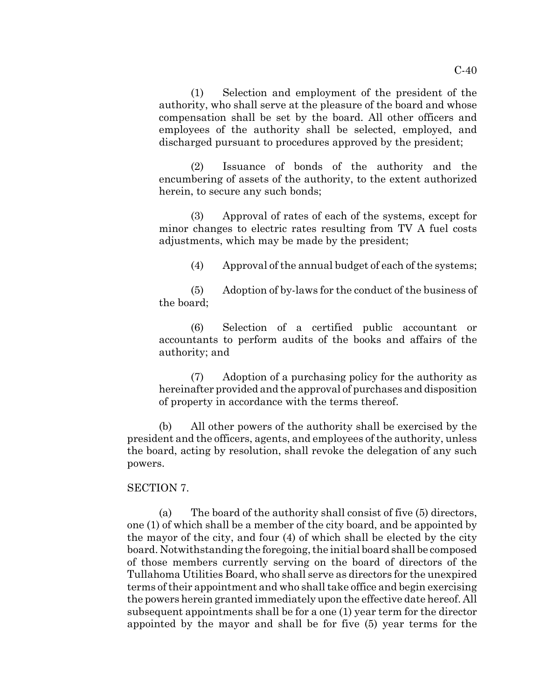(1) Selection and employment of the president of the authority, who shall serve at the pleasure of the board and whose compensation shall be set by the board. All other officers and employees of the authority shall be selected, employed, and discharged pursuant to procedures approved by the president;

(2) Issuance of bonds of the authority and the encumbering of assets of the authority, to the extent authorized herein, to secure any such bonds;

(3) Approval of rates of each of the systems, except for minor changes to electric rates resulting from TV A fuel costs adjustments, which may be made by the president;

(4) Approval of the annual budget of each of the systems;

(5) Adoption of by-laws for the conduct of the business of the board;

(6) Selection of a certified public accountant or accountants to perform audits of the books and affairs of the authority; and

(7) Adoption of a purchasing policy for the authority as hereinafter provided and the approval of purchases and disposition of property in accordance with the terms thereof.

(b) All other powers of the authority shall be exercised by the president and the officers, agents, and employees of the authority, unless the board, acting by resolution, shall revoke the delegation of any such powers.

## SECTION 7.

(a) The board of the authority shall consist of five (5) directors, one (1) of which shall be a member of the city board, and be appointed by the mayor of the city, and four (4) of which shall be elected by the city board. Notwithstanding the foregoing, the initial board shall be composed of those members currently serving on the board of directors of the Tullahoma Utilities Board, who shall serve as directors for the unexpired terms of their appointment and who shall take office and begin exercising the powers herein granted immediately upon the effective date hereof. All subsequent appointments shall be for a one (1) year term for the director appointed by the mayor and shall be for five (5) year terms for the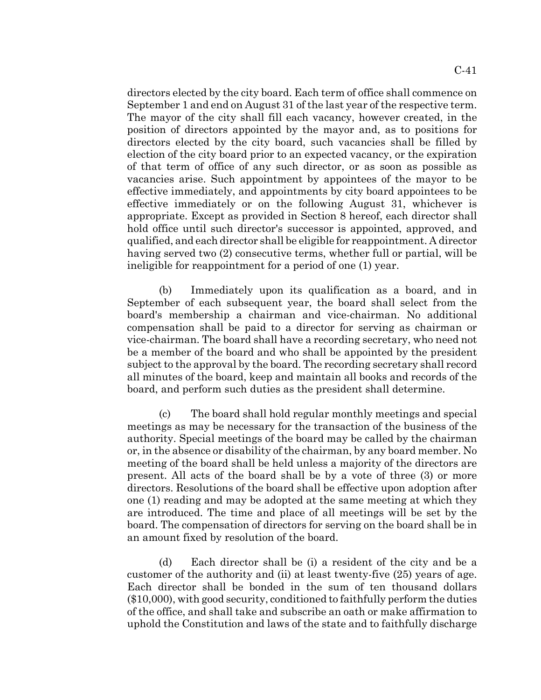directors elected by the city board. Each term of office shall commence on September 1 and end on August 31 of the last year of the respective term. The mayor of the city shall fill each vacancy, however created, in the position of directors appointed by the mayor and, as to positions for directors elected by the city board, such vacancies shall be filled by election of the city board prior to an expected vacancy, or the expiration of that term of office of any such director, or as soon as possible as vacancies arise. Such appointment by appointees of the mayor to be effective immediately, and appointments by city board appointees to be effective immediately or on the following August 31, whichever is appropriate. Except as provided in Section 8 hereof, each director shall hold office until such director's successor is appointed, approved, and qualified, and each director shall be eligible for reappointment. A director having served two (2) consecutive terms, whether full or partial, will be ineligible for reappointment for a period of one (1) year.

(b) Immediately upon its qualification as a board, and in September of each subsequent year, the board shall select from the board's membership a chairman and vice-chairman. No additional compensation shall be paid to a director for serving as chairman or vice-chairman. The board shall have a recording secretary, who need not be a member of the board and who shall be appointed by the president subject to the approval by the board. The recording secretary shall record all minutes of the board, keep and maintain all books and records of the board, and perform such duties as the president shall determine.

(c) The board shall hold regular monthly meetings and special meetings as may be necessary for the transaction of the business of the authority. Special meetings of the board may be called by the chairman or, in the absence or disability of the chairman, by any board member. No meeting of the board shall be held unless a majority of the directors are present. All acts of the board shall be by a vote of three (3) or more directors. Resolutions of the board shall be effective upon adoption after one (1) reading and may be adopted at the same meeting at which they are introduced. The time and place of all meetings will be set by the board. The compensation of directors for serving on the board shall be in an amount fixed by resolution of the board.

(d) Each director shall be (i) a resident of the city and be a customer of the authority and (ii) at least twenty-five (25) years of age. Each director shall be bonded in the sum of ten thousand dollars (\$10,000), with good security, conditioned to faithfully perform the duties of the office, and shall take and subscribe an oath or make affirmation to uphold the Constitution and laws of the state and to faithfully discharge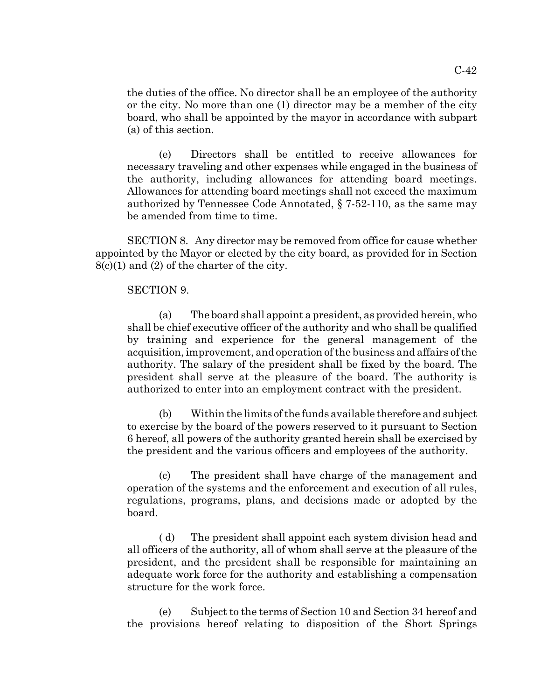the duties of the office. No director shall be an employee of the authority or the city. No more than one (1) director may be a member of the city board, who shall be appointed by the mayor in accordance with subpart (a) of this section.

(e) Directors shall be entitled to receive allowances for necessary traveling and other expenses while engaged in the business of the authority, including allowances for attending board meetings. Allowances for attending board meetings shall not exceed the maximum authorized by Tennessee Code Annotated, § 7-52-110, as the same may be amended from time to time.

SECTION 8. Any director may be removed from office for cause whether appointed by the Mayor or elected by the city board, as provided for in Section 8(c)(1) and (2) of the charter of the city.

#### SECTION 9.

(a) The board shall appoint a president, as provided herein, who shall be chief executive officer of the authority and who shall be qualified by training and experience for the general management of the acquisition, improvement, and operation of the business and affairs of the authority. The salary of the president shall be fixed by the board. The president shall serve at the pleasure of the board. The authority is authorized to enter into an employment contract with the president.

(b) Within the limits of the funds available therefore and subject to exercise by the board of the powers reserved to it pursuant to Section 6 hereof, all powers of the authority granted herein shall be exercised by the president and the various officers and employees of the authority.

(c) The president shall have charge of the management and operation of the systems and the enforcement and execution of all rules, regulations, programs, plans, and decisions made or adopted by the board.

( d) The president shall appoint each system division head and all officers of the authority, all of whom shall serve at the pleasure of the president, and the president shall be responsible for maintaining an adequate work force for the authority and establishing a compensation structure for the work force.

(e) Subject to the terms of Section 10 and Section 34 hereof and the provisions hereof relating to disposition of the Short Springs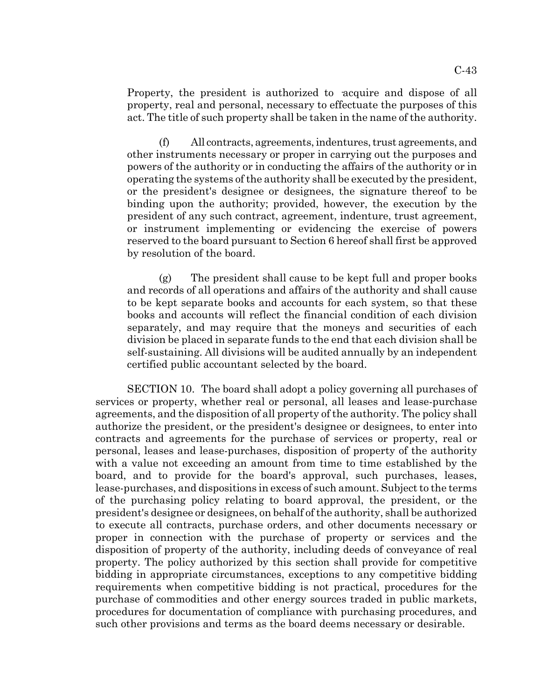Property, the president is authorized to acquire and dispose of all property, real and personal, necessary to effectuate the purposes of this act. The title of such property shall be taken in the name of the authority.

(f) All contracts, agreements, indentures, trust agreements, and other instruments necessary or proper in carrying out the purposes and powers of the authority or in conducting the affairs of the authority or in operating the systems of the authority shall be executed by the president, or the president's designee or designees, the signature thereof to be binding upon the authority; provided, however, the execution by the president of any such contract, agreement, indenture, trust agreement, or instrument implementing or evidencing the exercise of powers reserved to the board pursuant to Section 6 hereof shall first be approved by resolution of the board.

(g) The president shall cause to be kept full and proper books and records of all operations and affairs of the authority and shall cause to be kept separate books and accounts for each system, so that these books and accounts will reflect the financial condition of each division separately, and may require that the moneys and securities of each division be placed in separate funds to the end that each division shall be self-sustaining. All divisions will be audited annually by an independent certified public accountant selected by the board.

SECTION 10. The board shall adopt a policy governing all purchases of services or property, whether real or personal, all leases and lease-purchase agreements, and the disposition of all property of the authority. The policy shall authorize the president, or the president's designee or designees, to enter into contracts and agreements for the purchase of services or property, real or personal, leases and lease-purchases, disposition of property of the authority with a value not exceeding an amount from time to time established by the board, and to provide for the board's approval, such purchases, leases, lease-purchases, and dispositions in excess of such amount. Subject to the terms of the purchasing policy relating to board approval, the president, or the president's designee or designees, on behalf of the authority, shall be authorized to execute all contracts, purchase orders, and other documents necessary or proper in connection with the purchase of property or services and the disposition of property of the authority, including deeds of conveyance of real property. The policy authorized by this section shall provide for competitive bidding in appropriate circumstances, exceptions to any competitive bidding requirements when competitive bidding is not practical, procedures for the purchase of commodities and other energy sources traded in public markets, procedures for documentation of compliance with purchasing procedures, and such other provisions and terms as the board deems necessary or desirable.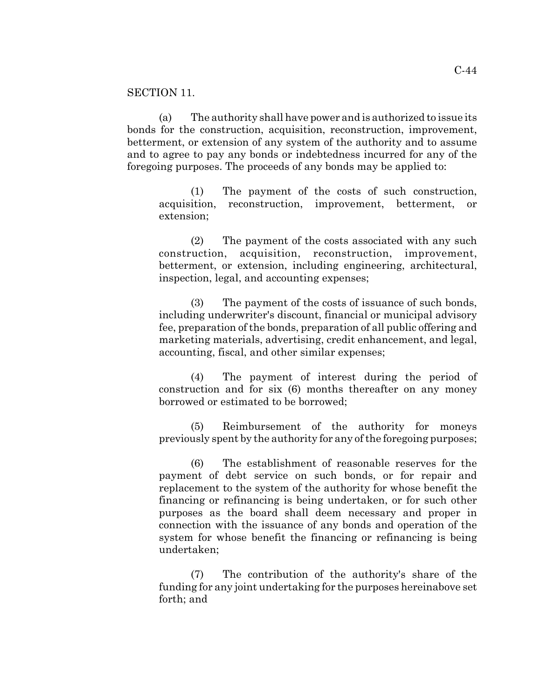### SECTION 11.

(a) The authority shall have power and is authorized to issue its bonds for the construction, acquisition, reconstruction, improvement, betterment, or extension of any system of the authority and to assume and to agree to pay any bonds or indebtedness incurred for any of the foregoing purposes. The proceeds of any bonds may be applied to:

(1) The payment of the costs of such construction, acquisition, reconstruction, improvement, betterment, or extension;

(2) The payment of the costs associated with any such construction, acquisition, reconstruction, improvement, betterment, or extension, including engineering, architectural, inspection, legal, and accounting expenses;

(3) The payment of the costs of issuance of such bonds, including underwriter's discount, financial or municipal advisory fee, preparation of the bonds, preparation of all public offering and marketing materials, advertising, credit enhancement, and legal, accounting, fiscal, and other similar expenses;

(4) The payment of interest during the period of construction and for six (6) months thereafter on any money borrowed or estimated to be borrowed;

(5) Reimbursement of the authority for moneys previously spent by the authority for any of the foregoing purposes;

(6) The establishment of reasonable reserves for the payment of debt service on such bonds, or for repair and replacement to the system of the authority for whose benefit the financing or refinancing is being undertaken, or for such other purposes as the board shall deem necessary and proper in connection with the issuance of any bonds and operation of the system for whose benefit the financing or refinancing is being undertaken;

(7) The contribution of the authority's share of the funding for any joint undertaking for the purposes hereinabove set forth; and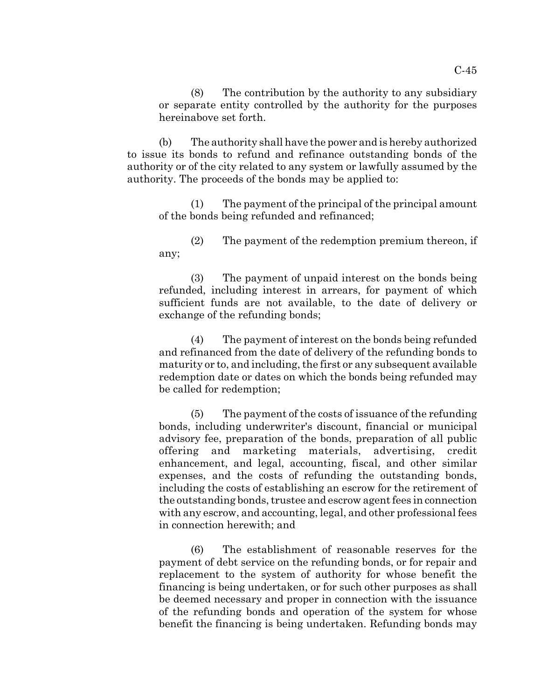(8) The contribution by the authority to any subsidiary or separate entity controlled by the authority for the purposes hereinabove set forth.

(b) The authority shall have the power and is hereby authorized to issue its bonds to refund and refinance outstanding bonds of the authority or of the city related to any system or lawfully assumed by the authority. The proceeds of the bonds may be applied to:

(1) The payment of the principal of the principal amount of the bonds being refunded and refinanced;

(2) The payment of the redemption premium thereon, if any;

(3) The payment of unpaid interest on the bonds being refunded, including interest in arrears, for payment of which sufficient funds are not available, to the date of delivery or exchange of the refunding bonds;

(4) The payment of interest on the bonds being refunded and refinanced from the date of delivery of the refunding bonds to maturity or to, and including, the first or any subsequent available redemption date or dates on which the bonds being refunded may be called for redemption;

(5) The payment of the costs of issuance of the refunding bonds, including underwriter's discount, financial or municipal advisory fee, preparation of the bonds, preparation of all public offering and marketing materials, advertising, credit enhancement, and legal, accounting, fiscal, and other similar expenses, and the costs of refunding the outstanding bonds, including the costs of establishing an escrow for the retirement of the outstanding bonds, trustee and escrow agent fees in connection with any escrow, and accounting, legal, and other professional fees in connection herewith; and

(6) The establishment of reasonable reserves for the payment of debt service on the refunding bonds, or for repair and replacement to the system of authority for whose benefit the financing is being undertaken, or for such other purposes as shall be deemed necessary and proper in connection with the issuance of the refunding bonds and operation of the system for whose benefit the financing is being undertaken. Refunding bonds may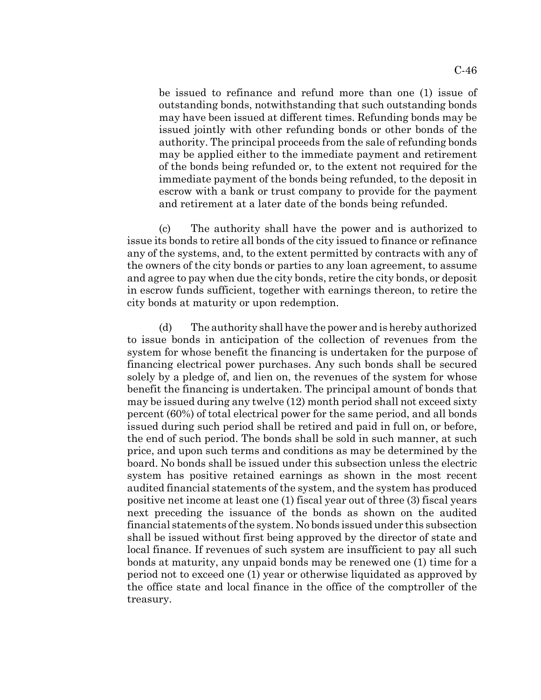be issued to refinance and refund more than one (1) issue of outstanding bonds, notwithstanding that such outstanding bonds may have been issued at different times. Refunding bonds may be issued jointly with other refunding bonds or other bonds of the authority. The principal proceeds from the sale of refunding bonds may be applied either to the immediate payment and retirement of the bonds being refunded or, to the extent not required for the immediate payment of the bonds being refunded, to the deposit in escrow with a bank or trust company to provide for the payment and retirement at a later date of the bonds being refunded.

(c) The authority shall have the power and is authorized to issue its bonds to retire all bonds of the city issued to finance or refinance any of the systems, and, to the extent permitted by contracts with any of the owners of the city bonds or parties to any loan agreement, to assume and agree to pay when due the city bonds, retire the city bonds, or deposit in escrow funds sufficient, together with earnings thereon, to retire the city bonds at maturity or upon redemption.

(d) The authority shall have the power and is hereby authorized to issue bonds in anticipation of the collection of revenues from the system for whose benefit the financing is undertaken for the purpose of financing electrical power purchases. Any such bonds shall be secured solely by a pledge of, and lien on, the revenues of the system for whose benefit the financing is undertaken. The principal amount of bonds that may be issued during any twelve (12) month period shall not exceed sixty percent (60%) of total electrical power for the same period, and all bonds issued during such period shall be retired and paid in full on, or before, the end of such period. The bonds shall be sold in such manner, at such price, and upon such terms and conditions as may be determined by the board. No bonds shall be issued under this subsection unless the electric system has positive retained earnings as shown in the most recent audited financial statements of the system, and the system has produced positive net income at least one (1) fiscal year out of three (3) fiscal years next preceding the issuance of the bonds as shown on the audited financial statements of the system. No bonds issued under this subsection shall be issued without first being approved by the director of state and local finance. If revenues of such system are insufficient to pay all such bonds at maturity, any unpaid bonds may be renewed one (1) time for a period not to exceed one (1) year or otherwise liquidated as approved by the office state and local finance in the office of the comptroller of the treasury.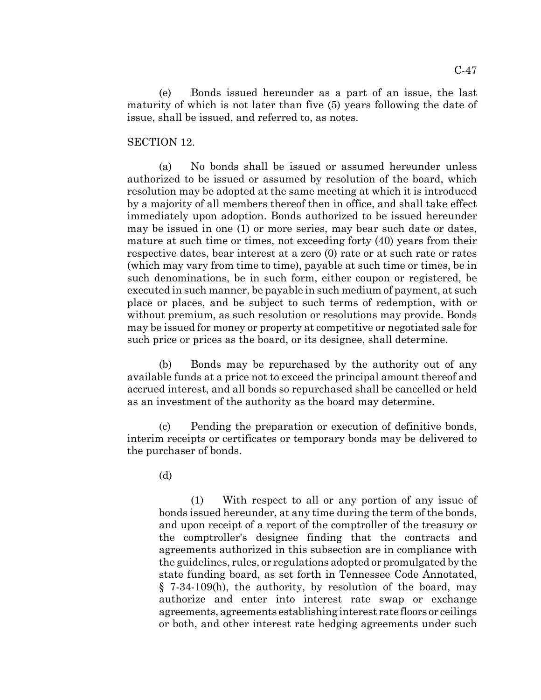(e) Bonds issued hereunder as a part of an issue, the last maturity of which is not later than five (5) years following the date of issue, shall be issued, and referred to, as notes.

#### SECTION 12.

(a) No bonds shall be issued or assumed hereunder unless authorized to be issued or assumed by resolution of the board, which resolution may be adopted at the same meeting at which it is introduced by a majority of all members thereof then in office, and shall take effect immediately upon adoption. Bonds authorized to be issued hereunder may be issued in one (1) or more series, may bear such date or dates, mature at such time or times, not exceeding forty (40) years from their respective dates, bear interest at a zero (0) rate or at such rate or rates (which may vary from time to time), payable at such time or times, be in such denominations, be in such form, either coupon or registered, be executed in such manner, be payable in such medium of payment, at such place or places, and be subject to such terms of redemption, with or without premium, as such resolution or resolutions may provide. Bonds may be issued for money or property at competitive or negotiated sale for such price or prices as the board, or its designee, shall determine.

(b) Bonds may be repurchased by the authority out of any available funds at a price not to exceed the principal amount thereof and accrued interest, and all bonds so repurchased shall be cancelled or held as an investment of the authority as the board may determine.

(c) Pending the preparation or execution of definitive bonds, interim receipts or certificates or temporary bonds may be delivered to the purchaser of bonds.

(d)

(1) With respect to all or any portion of any issue of bonds issued hereunder, at any time during the term of the bonds, and upon receipt of a report of the comptroller of the treasury or the comptroller's designee finding that the contracts and agreements authorized in this subsection are in compliance with the guidelines, rules, or regulations adopted or promulgated by the state funding board, as set forth in Tennessee Code Annotated, § 7-34-109(h), the authority, by resolution of the board, may authorize and enter into interest rate swap or exchange agreements, agreements establishing interest rate floors or ceilings or both, and other interest rate hedging agreements under such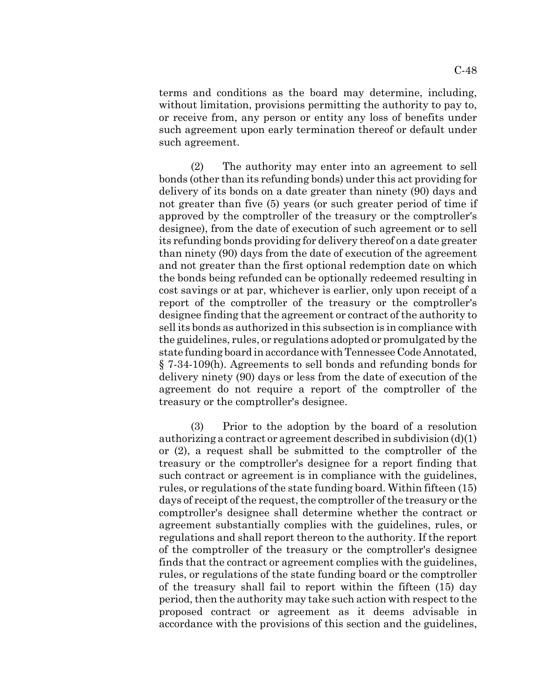terms and conditions as the board may determine, including, without limitation, provisions permitting the authority to pay to, or receive from, any person or entity any loss of benefits under such agreement upon early termination thereof or default under such agreement.

(2) The authority may enter into an agreement to sell bonds (other than its refunding bonds) under this act providing for delivery of its bonds on a date greater than ninety (90) days and not greater than five (5) years (or such greater period of time if approved by the comptroller of the treasury or the comptroller's designee), from the date of execution of such agreement or to sell its refunding bonds providing for delivery thereof on a date greater than ninety (90) days from the date of execution of the agreement and not greater than the first optional redemption date on which the bonds being refunded can be optionally redeemed resulting in cost savings or at par, whichever is earlier, only upon receipt of a report of the comptroller of the treasury or the comptroller's designee finding that the agreement or contract of the authority to sell its bonds as authorized in this subsection is in compliance with the guidelines, rules, or regulations adopted or promulgated by the state funding board in accordance with Tennessee Code Annotated, § 7-34-109(h). Agreements to sell bonds and refunding bonds for delivery ninety (90) days or less from the date of execution of the agreement do not require a report of the comptroller of the treasury or the comptroller's designee.

(3) Prior to the adoption by the board of a resolution authorizing a contract or agreement described in subdivision (d)(1) or (2), a request shall be submitted to the comptroller of the treasury or the comptroller's designee for a report finding that such contract or agreement is in compliance with the guidelines, rules, or regulations of the state funding board. Within fifteen (15) days of receipt of the request, the comptroller of the treasury or the comptroller's designee shall determine whether the contract or agreement substantially complies with the guidelines, rules, or regulations and shall report thereon to the authority. If the report of the comptroller of the treasury or the comptroller's designee finds that the contract or agreement complies with the guidelines, rules, or regulations of the state funding board or the comptroller of the treasury shall fail to report within the fifteen (15) day period, then the authority may take such action with respect to the proposed contract or agreement as it deems advisable in accordance with the provisions of this section and the guidelines,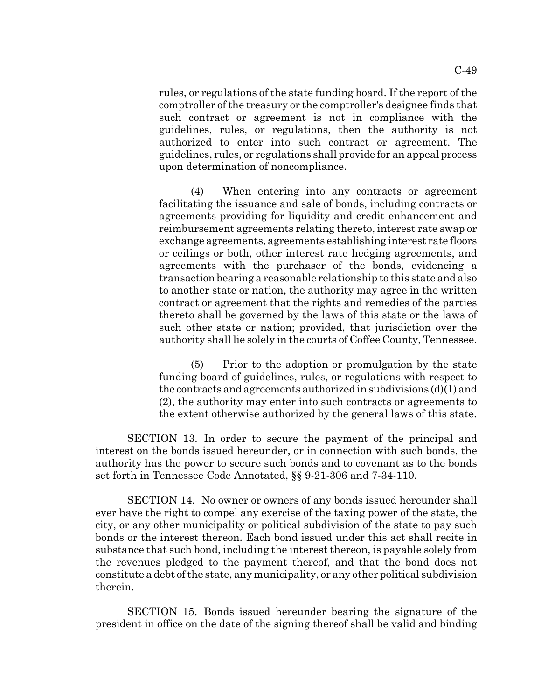rules, or regulations of the state funding board. If the report of the comptroller of the treasury or the comptroller's designee finds that such contract or agreement is not in compliance with the guidelines, rules, or regulations, then the authority is not authorized to enter into such contract or agreement. The guidelines, rules, or regulations shall provide for an appeal process upon determination of noncompliance.

(4) When entering into any contracts or agreement facilitating the issuance and sale of bonds, including contracts or agreements providing for liquidity and credit enhancement and reimbursement agreements relating thereto, interest rate swap or exchange agreements, agreements establishing interest rate floors or ceilings or both, other interest rate hedging agreements, and agreements with the purchaser of the bonds, evidencing a transaction bearing a reasonable relationship to this state and also to another state or nation, the authority may agree in the written contract or agreement that the rights and remedies of the parties thereto shall be governed by the laws of this state or the laws of such other state or nation; provided, that jurisdiction over the authority shall lie solely in the courts of Coffee County, Tennessee.

(5) Prior to the adoption or promulgation by the state funding board of guidelines, rules, or regulations with respect to the contracts and agreements authorized in subdivisions (d)(1) and (2), the authority may enter into such contracts or agreements to the extent otherwise authorized by the general laws of this state.

SECTION 13. In order to secure the payment of the principal and interest on the bonds issued hereunder, or in connection with such bonds, the authority has the power to secure such bonds and to covenant as to the bonds set forth in Tennessee Code Annotated, §§ 9-21-306 and 7-34-110.

SECTION 14. No owner or owners of any bonds issued hereunder shall ever have the right to compel any exercise of the taxing power of the state, the city, or any other municipality or political subdivision of the state to pay such bonds or the interest thereon. Each bond issued under this act shall recite in substance that such bond, including the interest thereon, is payable solely from the revenues pledged to the payment thereof, and that the bond does not constitute a debt of the state, any municipality, or any other political subdivision therein.

SECTION 15. Bonds issued hereunder bearing the signature of the president in office on the date of the signing thereof shall be valid and binding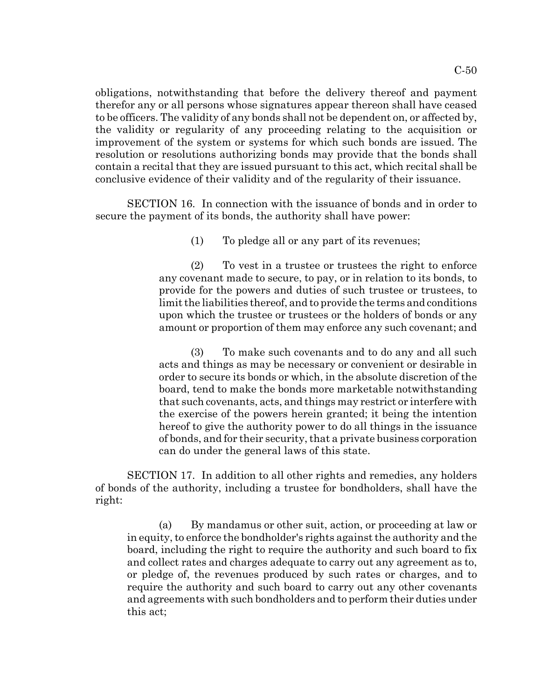C-50

obligations, notwithstanding that before the delivery thereof and payment therefor any or all persons whose signatures appear thereon shall have ceased to be officers. The validity of any bonds shall not be dependent on, or affected by, the validity or regularity of any proceeding relating to the acquisition or improvement of the system or systems for which such bonds are issued. The resolution or resolutions authorizing bonds may provide that the bonds shall contain a recital that they are issued pursuant to this act, which recital shall be conclusive evidence of their validity and of the regularity of their issuance.

SECTION 16. In connection with the issuance of bonds and in order to secure the payment of its bonds, the authority shall have power:

(1) To pledge all or any part of its revenues;

(2) To vest in a trustee or trustees the right to enforce any covenant made to secure, to pay, or in relation to its bonds, to provide for the powers and duties of such trustee or trustees, to limit the liabilities thereof, and to provide the terms and conditions upon which the trustee or trustees or the holders of bonds or any amount or proportion of them may enforce any such covenant; and

(3) To make such covenants and to do any and all such acts and things as may be necessary or convenient or desirable in order to secure its bonds or which, in the absolute discretion of the board, tend to make the bonds more marketable notwithstanding that such covenants, acts, and things may restrict or interfere with the exercise of the powers herein granted; it being the intention hereof to give the authority power to do all things in the issuance of bonds, and for their security, that a private business corporation can do under the general laws of this state.

SECTION 17. In addition to all other rights and remedies, any holders of bonds of the authority, including a trustee for bondholders, shall have the right:

(a) By mandamus or other suit, action, or proceeding at law or in equity, to enforce the bondholder's rights against the authority and the board, including the right to require the authority and such board to fix and collect rates and charges adequate to carry out any agreement as to, or pledge of, the revenues produced by such rates or charges, and to require the authority and such board to carry out any other covenants and agreements with such bondholders and to perform their duties under this act;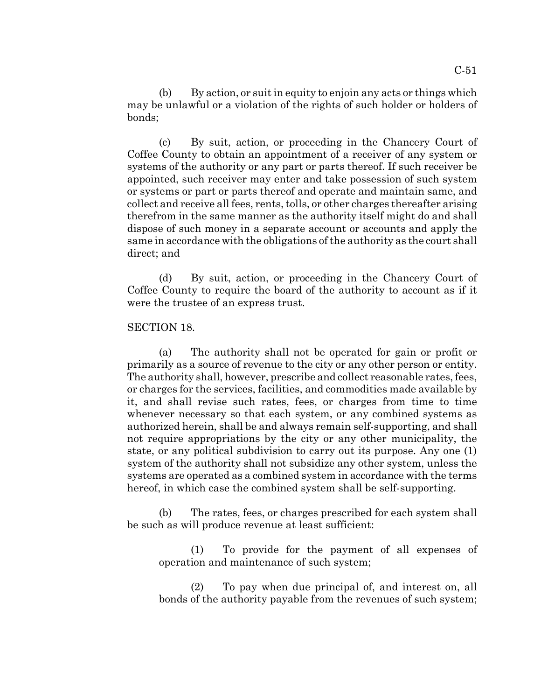(b) By action, or suit in equity to enjoin any acts or things which may be unlawful or a violation of the rights of such holder or holders of bonds;

(c) By suit, action, or proceeding in the Chancery Court of Coffee County to obtain an appointment of a receiver of any system or systems of the authority or any part or parts thereof. If such receiver be appointed, such receiver may enter and take possession of such system or systems or part or parts thereof and operate and maintain same, and collect and receive all fees, rents, tolls, or other charges thereafter arising therefrom in the same manner as the authority itself might do and shall dispose of such money in a separate account or accounts and apply the same in accordance with the obligations of the authority as the court shall direct; and

(d) By suit, action, or proceeding in the Chancery Court of Coffee County to require the board of the authority to account as if it were the trustee of an express trust.

#### SECTION 18.

(a) The authority shall not be operated for gain or profit or primarily as a source of revenue to the city or any other person or entity. The authority shall, however, prescribe and collect reasonable rates, fees, or charges for the services, facilities, and commodities made available by it, and shall revise such rates, fees, or charges from time to time whenever necessary so that each system, or any combined systems as authorized herein, shall be and always remain self-supporting, and shall not require appropriations by the city or any other municipality, the state, or any political subdivision to carry out its purpose. Any one (1) system of the authority shall not subsidize any other system, unless the systems are operated as a combined system in accordance with the terms hereof, in which case the combined system shall be self-supporting.

(b) The rates, fees, or charges prescribed for each system shall be such as will produce revenue at least sufficient:

(1) To provide for the payment of all expenses of operation and maintenance of such system;

(2) To pay when due principal of, and interest on, all bonds of the authority payable from the revenues of such system;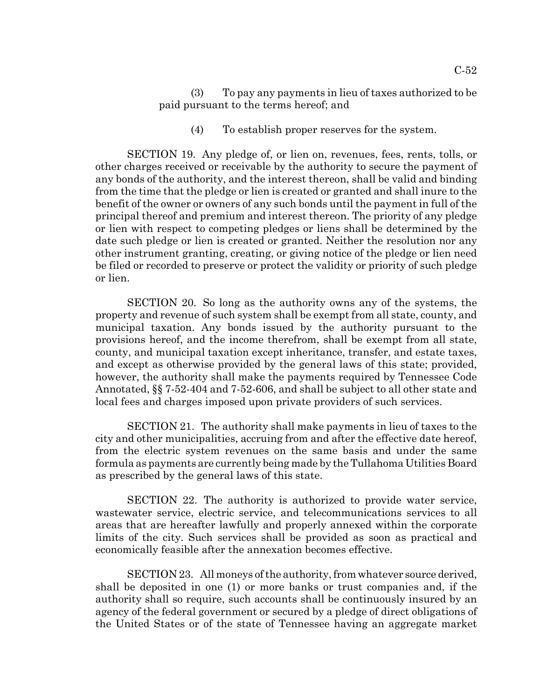(3) To pay any payments in lieu of taxes authorized to be paid pursuant to the terms hereof; and

(4) To establish proper reserves for the system.

SECTION 19. Any pledge of, or lien on, revenues, fees, rents, tolls, or other charges received or receivable by the authority to secure the payment of any bonds of the authority, and the interest thereon, shall be valid and binding from the time that the pledge or lien is created or granted and shall inure to the benefit of the owner or owners of any such bonds until the payment in full of the principal thereof and premium and interest thereon. The priority of any pledge or lien with respect to competing pledges or liens shall be determined by the date such pledge or lien is created or granted. Neither the resolution nor any other instrument granting, creating, or giving notice of the pledge or lien need be filed or recorded to preserve or protect the validity or priority of such pledge or lien.

SECTION 20. So long as the authority owns any of the systems, the property and revenue of such system shall be exempt from all state, county, and municipal taxation. Any bonds issued by the authority pursuant to the provisions hereof, and the income therefrom, shall be exempt from all state, county, and municipal taxation except inheritance, transfer, and estate taxes, and except as otherwise provided by the general laws of this state; provided, however, the authority shall make the payments required by Tennessee Code Annotated, §§ 7-52-404 and 7-52-606, and shall be subject to all other state and local fees and charges imposed upon private providers of such services.

SECTION 21. The authority shall make payments in lieu of taxes to the city and other municipalities, accruing from and after the effective date hereof, from the electric system revenues on the same basis and under the same formula as payments are currently being made by the Tullahoma Utilities Board as prescribed by the general laws of this state.

SECTION 22. The authority is authorized to provide water service, wastewater service, electric service, and telecommunications services to all areas that are hereafter lawfully and properly annexed within the corporate limits of the city. Such services shall be provided as soon as practical and economically feasible after the annexation becomes effective.

SECTION 23. All moneys of the authority, from whatever source derived, shall be deposited in one (1) or more banks or trust companies and, if the authority shall so require, such accounts shall be continuously insured by an agency of the federal government or secured by a pledge of direct obligations of the United States or of the state of Tennessee having an aggregate market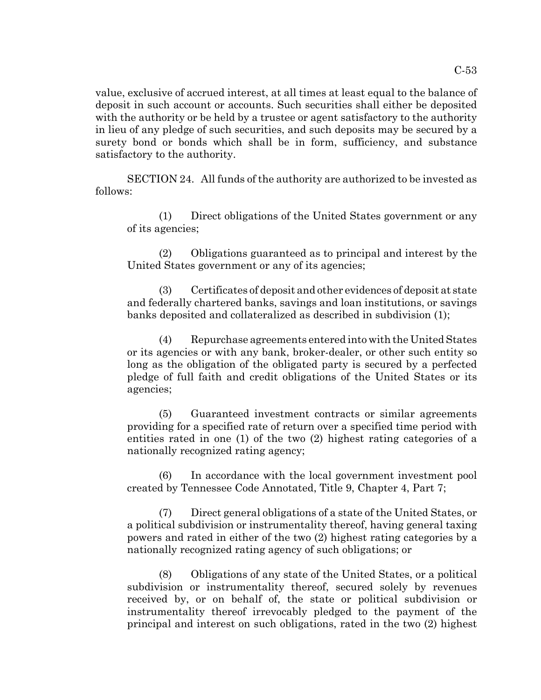value, exclusive of accrued interest, at all times at least equal to the balance of deposit in such account or accounts. Such securities shall either be deposited with the authority or be held by a trustee or agent satisfactory to the authority in lieu of any pledge of such securities, and such deposits may be secured by a surety bond or bonds which shall be in form, sufficiency, and substance satisfactory to the authority.

SECTION 24. All funds of the authority are authorized to be invested as follows:

(1) Direct obligations of the United States government or any of its agencies;

(2) Obligations guaranteed as to principal and interest by the United States government or any of its agencies;

(3) Certificates of deposit and other evidences of deposit at state and federally chartered banks, savings and loan institutions, or savings banks deposited and collateralized as described in subdivision (1);

(4) Repurchase agreements entered into with the United States or its agencies or with any bank, broker-dealer, or other such entity so long as the obligation of the obligated party is secured by a perfected pledge of full faith and credit obligations of the United States or its agencies;

(5) Guaranteed investment contracts or similar agreements providing for a specified rate of return over a specified time period with entities rated in one (1) of the two (2) highest rating categories of a nationally recognized rating agency;

(6) In accordance with the local government investment pool created by Tennessee Code Annotated, Title 9, Chapter 4, Part 7;

(7) Direct general obligations of a state of the United States, or a political subdivision or instrumentality thereof, having general taxing powers and rated in either of the two (2) highest rating categories by a nationally recognized rating agency of such obligations; or

(8) Obligations of any state of the United States, or a political subdivision or instrumentality thereof, secured solely by revenues received by, or on behalf of, the state or political subdivision or instrumentality thereof irrevocably pledged to the payment of the principal and interest on such obligations, rated in the two (2) highest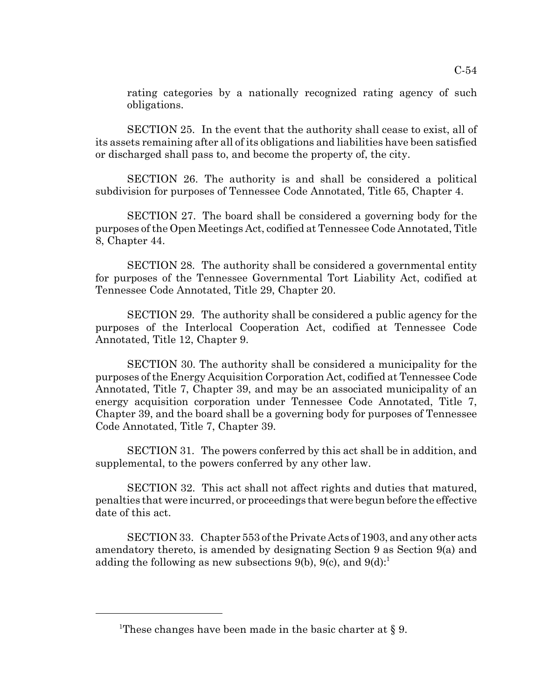rating categories by a nationally recognized rating agency of such obligations.

SECTION 25. In the event that the authority shall cease to exist, all of its assets remaining after all of its obligations and liabilities have been satisfied or discharged shall pass to, and become the property of, the city.

SECTION 26. The authority is and shall be considered a political subdivision for purposes of Tennessee Code Annotated, Title 65, Chapter 4.

SECTION 27. The board shall be considered a governing body for the purposes of the Open Meetings Act, codified at Tennessee Code Annotated, Title 8, Chapter 44.

SECTION 28. The authority shall be considered a governmental entity for purposes of the Tennessee Governmental Tort Liability Act, codified at Tennessee Code Annotated, Title 29, Chapter 20.

SECTION 29. The authority shall be considered a public agency for the purposes of the Interlocal Cooperation Act, codified at Tennessee Code Annotated, Title 12, Chapter 9.

SECTION 30. The authority shall be considered a municipality for the purposes of the Energy Acquisition Corporation Act, codified at Tennessee Code Annotated, Title 7, Chapter 39, and may be an associated municipality of an energy acquisition corporation under Tennessee Code Annotated, Title 7, Chapter 39, and the board shall be a governing body for purposes of Tennessee Code Annotated, Title 7, Chapter 39.

SECTION 31. The powers conferred by this act shall be in addition, and supplemental, to the powers conferred by any other law.

SECTION 32. This act shall not affect rights and duties that matured, penalties that were incurred, or proceedings that were begun before the effective date of this act.

SECTION 33. Chapter 553 of the Private Acts of 1903, and any other acts amendatory thereto, is amended by designating Section 9 as Section 9(a) and adding the following as new subsections 9(b), 9(c), and  $9(d)$ :

<sup>&</sup>lt;sup>1</sup>These changes have been made in the basic charter at  $\S$  9.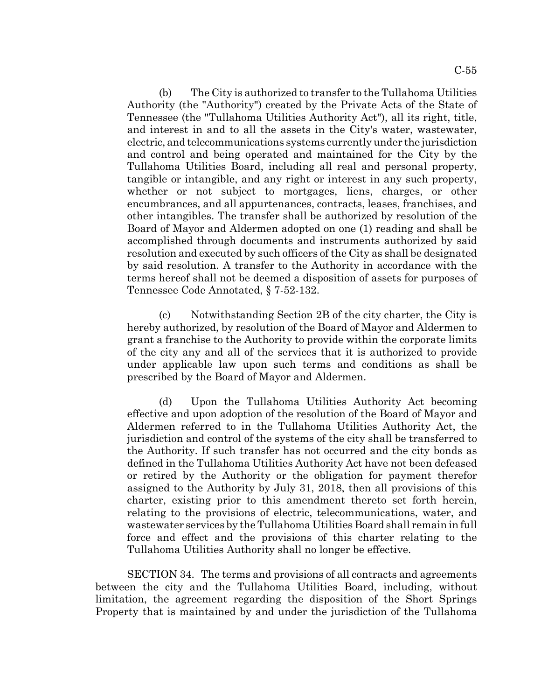(b) The City is authorized to transfer to the Tullahoma Utilities Authority (the "Authority") created by the Private Acts of the State of Tennessee (the "Tullahoma Utilities Authority Act"), all its right, title, and interest in and to all the assets in the City's water, wastewater, electric, and telecommunications systems currently under the jurisdiction and control and being operated and maintained for the City by the Tullahoma Utilities Board, including all real and personal property, tangible or intangible, and any right or interest in any such property, whether or not subject to mortgages, liens, charges, or other encumbrances, and all appurtenances, contracts, leases, franchises, and other intangibles. The transfer shall be authorized by resolution of the Board of Mayor and Aldermen adopted on one (1) reading and shall be accomplished through documents and instruments authorized by said resolution and executed by such officers of the City as shall be designated by said resolution. A transfer to the Authority in accordance with the terms hereof shall not be deemed a disposition of assets for purposes of Tennessee Code Annotated, § 7-52-132.

(c) Notwithstanding Section 2B of the city charter, the City is hereby authorized, by resolution of the Board of Mayor and Aldermen to grant a franchise to the Authority to provide within the corporate limits of the city any and all of the services that it is authorized to provide under applicable law upon such terms and conditions as shall be prescribed by the Board of Mayor and Aldermen.

(d) Upon the Tullahoma Utilities Authority Act becoming effective and upon adoption of the resolution of the Board of Mayor and Aldermen referred to in the Tullahoma Utilities Authority Act, the jurisdiction and control of the systems of the city shall be transferred to the Authority. If such transfer has not occurred and the city bonds as defined in the Tullahoma Utilities Authority Act have not been defeased or retired by the Authority or the obligation for payment therefor assigned to the Authority by July 31, 2018, then all provisions of this charter, existing prior to this amendment thereto set forth herein, relating to the provisions of electric, telecommunications, water, and wastewater services by the Tullahoma Utilities Board shall remain in full force and effect and the provisions of this charter relating to the Tullahoma Utilities Authority shall no longer be effective.

SECTION 34. The terms and provisions of all contracts and agreements between the city and the Tullahoma Utilities Board, including, without limitation, the agreement regarding the disposition of the Short Springs Property that is maintained by and under the jurisdiction of the Tullahoma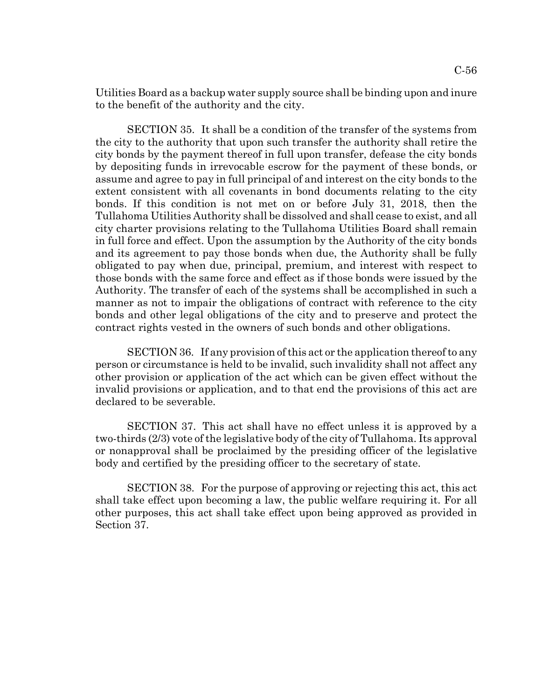Utilities Board as a backup water supply source shall be binding upon and inure to the benefit of the authority and the city.

SECTION 35. It shall be a condition of the transfer of the systems from the city to the authority that upon such transfer the authority shall retire the city bonds by the payment thereof in full upon transfer, defease the city bonds by depositing funds in irrevocable escrow for the payment of these bonds, or assume and agree to pay in full principal of and interest on the city bonds to the extent consistent with all covenants in bond documents relating to the city bonds. If this condition is not met on or before July 31, 2018, then the Tullahoma Utilities Authority shall be dissolved and shall cease to exist, and all city charter provisions relating to the Tullahoma Utilities Board shall remain in full force and effect. Upon the assumption by the Authority of the city bonds and its agreement to pay those bonds when due, the Authority shall be fully obligated to pay when due, principal, premium, and interest with respect to those bonds with the same force and effect as if those bonds were issued by the Authority. The transfer of each of the systems shall be accomplished in such a manner as not to impair the obligations of contract with reference to the city bonds and other legal obligations of the city and to preserve and protect the contract rights vested in the owners of such bonds and other obligations.

SECTION 36. If any provision of this act or the application thereof to any person or circumstance is held to be invalid, such invalidity shall not affect any other provision or application of the act which can be given effect without the invalid provisions or application, and to that end the provisions of this act are declared to be severable.

SECTION 37. This act shall have no effect unless it is approved by a two-thirds (2/3) vote of the legislative body of the city of Tullahoma. Its approval or nonapproval shall be proclaimed by the presiding officer of the legislative body and certified by the presiding officer to the secretary of state.

SECTION 38. For the purpose of approving or rejecting this act, this act shall take effect upon becoming a law, the public welfare requiring it. For all other purposes, this act shall take effect upon being approved as provided in Section 37.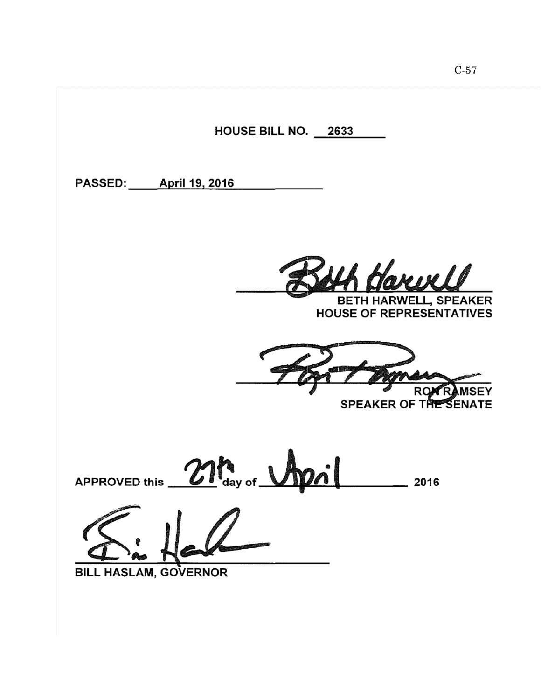HOUSE BILL NO. 2633 PASSED: April 19, 2016 **BETH HARWELL, SPEAKER HOUSE OF REPRESENTATIVES** RO SPEAKER OF THE SENATE 21 day of Urpsil APPROVED this \_\_ BILL HASLAM, GOVERNOR

C-57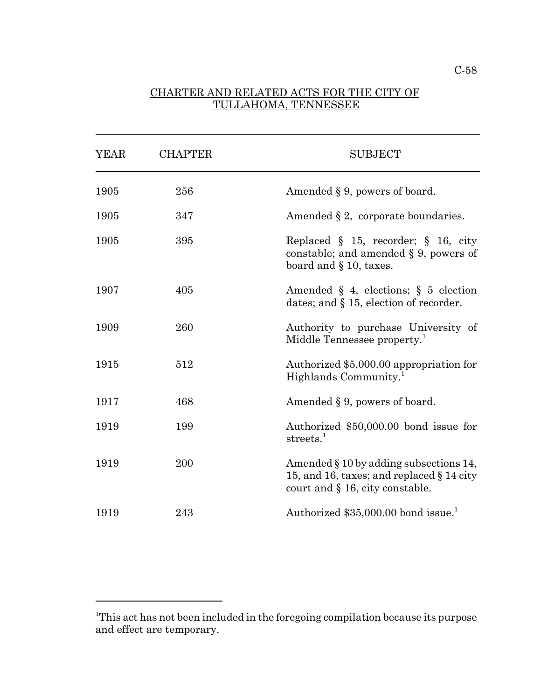## CHARTER AND RELATED ACTS FOR THE CITY OF TULLAHOMA, TENNESSEE

 $\overline{a}$ 

| <b>YEAR</b> | <b>CHAPTER</b> | <b>SUBJECT</b>                                                                                                               |
|-------------|----------------|------------------------------------------------------------------------------------------------------------------------------|
| 1905        | 256            | Amended $\S 9$ , powers of board.                                                                                            |
| 1905        | 347            | Amended $\S 2$ , corporate boundaries.                                                                                       |
| 1905        | 395            | Replaced $\S$ 15, recorder; $\S$ 16, city<br>constable; and amended $\S 9$ , powers of<br>board and $\S$ 10, taxes.          |
| 1907        | 405            | Amended $\S$ 4, elections; $\S$ 5 election<br>dates; and $\S$ 15, election of recorder.                                      |
| 1909        | 260            | Authority to purchase University of<br>Middle Tennessee property. <sup>1</sup>                                               |
| 1915        | 512            | Authorized \$5,000.00 appropriation for<br>Highlands Community. <sup>1</sup>                                                 |
| 1917        | 468            | Amended § 9, powers of board.                                                                                                |
| 1919        | 199            | Authorized \$50,000.00 bond issue for<br>streets. $1$                                                                        |
| 1919        | 200            | Amended § 10 by adding subsections 14,<br>15, and 16, taxes; and replaced $\S$ 14 city<br>court and $\S$ 16, city constable. |
| 1919        | 243            | Authorized \$35,000.00 bond issue. <sup>1</sup>                                                                              |

<sup>&</sup>lt;sup>1</sup>This act has not been included in the foregoing compilation because its purpose and effect are temporary.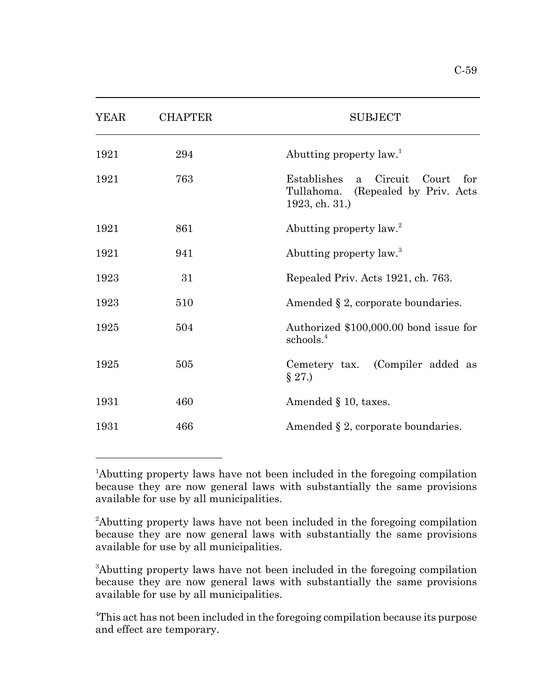| $C-59$ |
|--------|
|        |

| <b>YEAR</b> | <b>CHAPTER</b> | <b>SUBJECT</b>                                                                                                 |
|-------------|----------------|----------------------------------------------------------------------------------------------------------------|
| 1921        | 294            | Abutting property law. <sup>1</sup>                                                                            |
| 1921        | 763            | Circuit<br>Establishes<br>Court<br>for<br>$\mathbf{a}$<br>Tullahoma. (Repealed by Priv. Acts<br>1923, ch. 31.) |
| 1921        | 861            | Abutting property law. <sup>2</sup>                                                                            |
| 1921        | 941            | Abutting property law. <sup>3</sup>                                                                            |
| 1923        | 31             | Repealed Priv. Acts 1921, ch. 763.                                                                             |
| 1923        | 510            | Amended $\S 2$ , corporate boundaries.                                                                         |
| 1925        | 504            | Authorized \$100,000.00 bond issue for<br>schools. <sup>4</sup>                                                |
| 1925        | 505            | Cemetery tax. (Compiler added as<br>$\S 27.$                                                                   |
| 1931        | 460            | Amended $\S$ 10, taxes.                                                                                        |
| 1931        | 466            | Amended $\S 2$ , corporate boundaries.                                                                         |

 $\overline{a}$ 

<sup>1</sup>Abutting property laws have not been included in the foregoing compilation because they are now general laws with substantially the same provisions available for use by all municipalities.

<sup>3</sup>Abutting property laws have not been included in the foregoing compilation because they are now general laws with substantially the same provisions available for use by all municipalities.

<sup>4</sup>This act has not been included in the foregoing compilation because its purpose and effect are temporary.

<sup>&</sup>lt;sup>2</sup>Abutting property laws have not been included in the foregoing compilation because they are now general laws with substantially the same provisions available for use by all municipalities.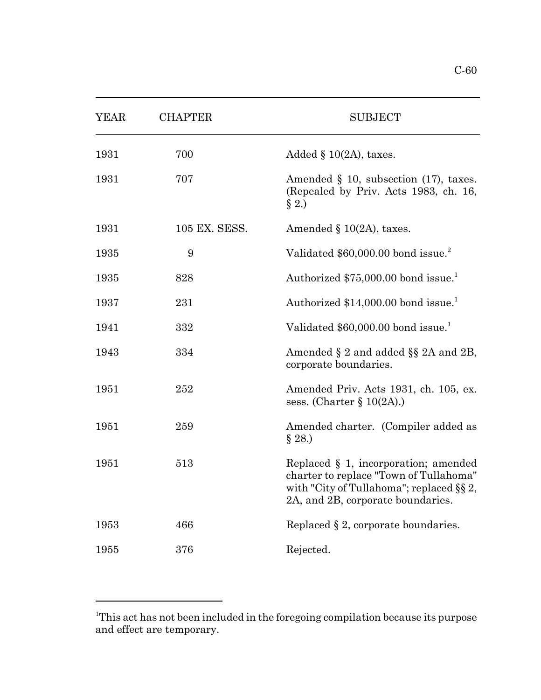| <b>YEAR</b> | <b>CHAPTER</b> | <b>SUBJECT</b>                                                                                                                                                  |
|-------------|----------------|-----------------------------------------------------------------------------------------------------------------------------------------------------------------|
| 1931        | 700            | Added $\S$ 10(2A), taxes.                                                                                                                                       |
| 1931        | 707            | Amended $\S$ 10, subsection (17), taxes.<br>(Repealed by Priv. Acts 1983, ch. 16,<br>$\S 2.$                                                                    |
| 1931        | 105 EX. SESS.  | Amended $\S$ 10(2A), taxes.                                                                                                                                     |
| 1935        | 9              | Validated \$60,000.00 bond issue. <sup>2</sup>                                                                                                                  |
| 1935        | 828            | Authorized \$75,000.00 bond issue. <sup>1</sup>                                                                                                                 |
| 1937        | 231            | Authorized \$14,000.00 bond issue. <sup>1</sup>                                                                                                                 |
| 1941        | 332            | Validated \$60,000.00 bond issue. <sup>1</sup>                                                                                                                  |
| 1943        | 334            | Amended $\S 2$ and added $\S \ S 2A$ and $2B$ ,<br>corporate boundaries.                                                                                        |
| 1951        | 252            | Amended Priv. Acts 1931, ch. 105, ex.<br>sess. (Charter $\S 10(2A)$ .)                                                                                          |
| 1951        | 259            | Amended charter. (Compiler added as<br>§ 28.)                                                                                                                   |
| 1951        | 513            | Replaced § 1, incorporation; amended<br>charter to replace "Town of Tullahoma"<br>with "City of Tullahoma"; replaced §§ 2,<br>2A, and 2B, corporate boundaries. |
| 1953        | 466            | Replaced $\S 2$ , corporate boundaries.                                                                                                                         |
| 1955        | 376            | Rejected.                                                                                                                                                       |

<sup>&</sup>lt;sup>1</sup>This act has not been included in the foregoing compilation because its purpose and effect are temporary.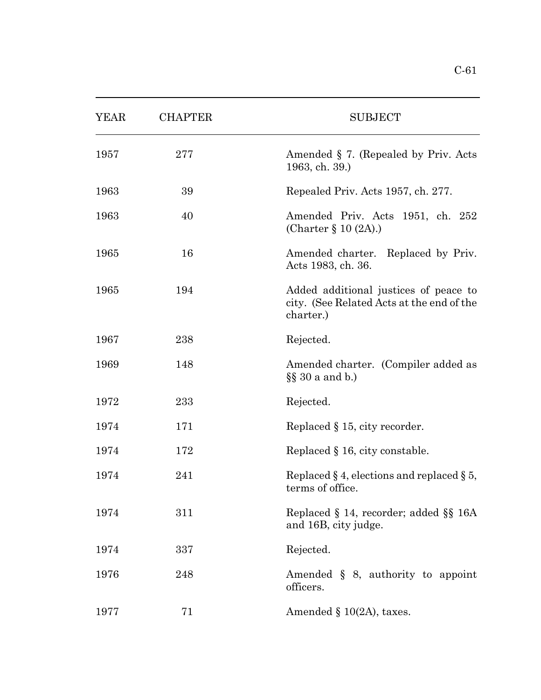| YEAR | <b>CHAPTER</b> | <b>SUBJECT</b>                                                                                  |
|------|----------------|-------------------------------------------------------------------------------------------------|
| 1957 | 277            | Amended § 7. (Repealed by Priv. Acts<br>1963, ch. 39.)                                          |
| 1963 | 39             | Repealed Priv. Acts 1957, ch. 277.                                                              |
| 1963 | 40             | Amended Priv. Acts 1951, ch. 252<br>(Charter $\S 10(2A)$ .)                                     |
| 1965 | 16             | Amended charter. Replaced by Priv.<br>Acts 1983, ch. 36.                                        |
| 1965 | 194            | Added additional justices of peace to<br>city. (See Related Acts at the end of the<br>charter.) |
| 1967 | 238            | Rejected.                                                                                       |
| 1969 | 148            | Amended charter. (Compiler added as<br>$\S$ 30 a and b.)                                        |
| 1972 | 233            | Rejected.                                                                                       |
| 1974 | 171            | Replaced $\S$ 15, city recorder.                                                                |
| 1974 | 172            | Replaced $\S$ 16, city constable.                                                               |
| 1974 | 241            | Replaced $\S 4$ , elections and replaced $\S 5$ ,<br>terms of office.                           |
| 1974 | 311            | Replaced $\S$ 14, recorder; added $\S$ 16A<br>and 16B, city judge.                              |
| 1974 | 337            | Rejected.                                                                                       |
| 1976 | 248            | Amended $\S$ 8, authority to appoint<br>officers.                                               |
| 1977 | 71             | Amended $\S$ 10(2A), taxes.                                                                     |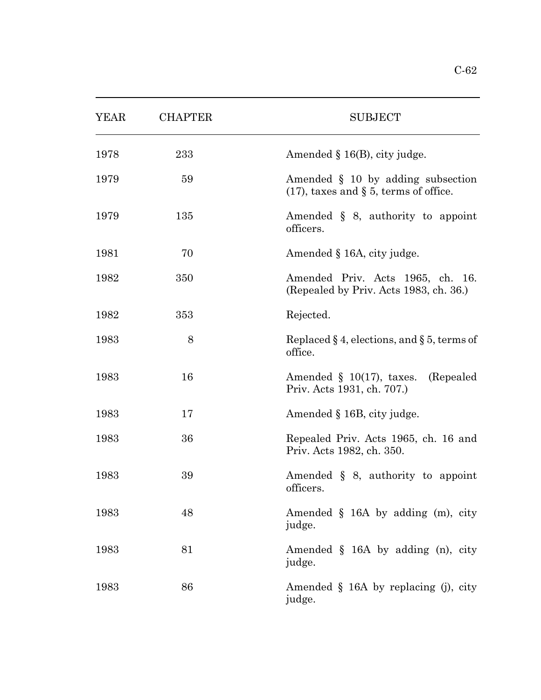| <b>YEAR</b> | <b>CHAPTER</b> | <b>SUBJECT</b>                                                                |
|-------------|----------------|-------------------------------------------------------------------------------|
| 1978        | 233            | Amended $\S$ 16(B), city judge.                                               |
| 1979        | 59             | Amended § 10 by adding subsection<br>$(17)$ , taxes and § 5, terms of office. |
| 1979        | 135            | Amended $\S$ 8, authority to appoint<br>officers.                             |
| 1981        | 70             | Amended § 16A, city judge.                                                    |
| 1982        | 350            | Amended Priv. Acts 1965, ch. 16.<br>(Repealed by Priv. Acts 1983, ch. 36.)    |
| 1982        | 353            | Rejected.                                                                     |
| 1983        | 8              | Replaced $\S 4$ , elections, and $\S 5$ , terms of<br>office.                 |
| 1983        | 16             | Amended $\S$ 10(17), taxes. (Repealed<br>Priv. Acts 1931, ch. 707.)           |
| 1983        | 17             | Amended § 16B, city judge.                                                    |
| 1983        | 36             | Repealed Priv. Acts 1965, ch. 16 and<br>Priv. Acts 1982, ch. 350.             |
| 1983        | 39             | Amended $\S$ 8, authority to appoint<br>officers.                             |
| 1983        | 48             | Amended $\S$ 16A by adding (m), city<br>judge.                                |
| 1983        | 81             | Amended $\S$ 16A by adding (n), city<br>judge.                                |
| 1983        | 86             | Amended $\S$ 16A by replacing (j), city<br>judge.                             |